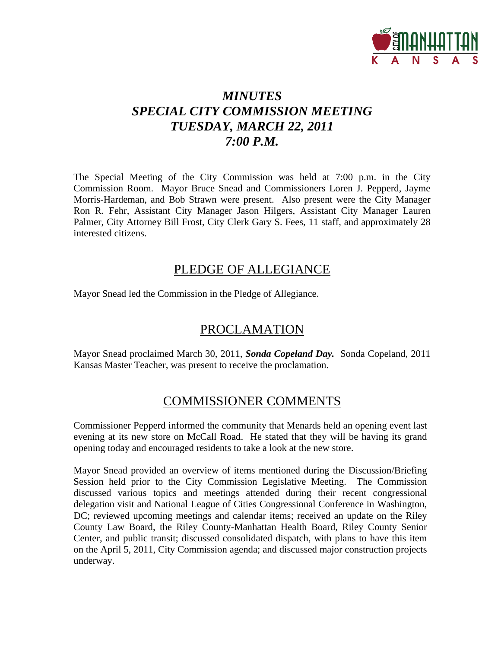

## *MINUTES SPECIAL CITY COMMISSION MEETING TUESDAY, MARCH 22, 2011 7:00 P.M.*

The Special Meeting of the City Commission was held at 7:00 p.m. in the City Commission Room. Mayor Bruce Snead and Commissioners Loren J. Pepperd, Jayme Morris-Hardeman, and Bob Strawn were present. Also present were the City Manager Ron R. Fehr, Assistant City Manager Jason Hilgers, Assistant City Manager Lauren Palmer, City Attorney Bill Frost, City Clerk Gary S. Fees, 11 staff, and approximately 28 interested citizens.

### PLEDGE OF ALLEGIANCE

Mayor Snead led the Commission in the Pledge of Allegiance.

## PROCLAMATION

Mayor Snead proclaimed March 30, 2011, *Sonda Copeland Day.* Sonda Copeland, 2011 Kansas Master Teacher, was present to receive the proclamation.

## COMMISSIONER COMMENTS

Commissioner Pepperd informed the community that Menards held an opening event last evening at its new store on McCall Road. He stated that they will be having its grand opening today and encouraged residents to take a look at the new store.

Mayor Snead provided an overview of items mentioned during the Discussion/Briefing Session held prior to the City Commission Legislative Meeting. The Commission discussed various topics and meetings attended during their recent congressional delegation visit and National League of Cities Congressional Conference in Washington, DC; reviewed upcoming meetings and calendar items; received an update on the Riley County Law Board, the Riley County-Manhattan Health Board, Riley County Senior Center, and public transit; discussed consolidated dispatch, with plans to have this item on the April 5, 2011, City Commission agenda; and discussed major construction projects underway.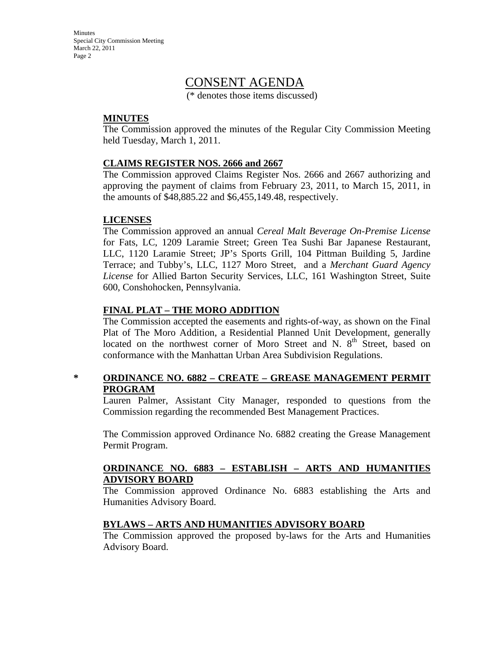Minutes Special City Commission Meeting March 22, 2011 Page 2

### CONSENT AGENDA

(\* denotes those items discussed)

### **MINUTES**

The Commission approved the minutes of the Regular City Commission Meeting held Tuesday, March 1, 2011.

### **CLAIMS REGISTER NOS. 2666 and 2667**

The Commission approved Claims Register Nos. 2666 and 2667 authorizing and approving the payment of claims from February 23, 2011, to March 15, 2011, in the amounts of \$48,885.22 and \$6,455,149.48, respectively.

### **LICENSES**

The Commission approved an annual *Cereal Malt Beverage On-Premise License* for Fats, LC, 1209 Laramie Street; Green Tea Sushi Bar Japanese Restaurant, LLC, 1120 Laramie Street; JP's Sports Grill, 104 Pittman Building 5, Jardine Terrace; and Tubby's, LLC, 1127 Moro Street, and a *Merchant Guard Agency License* for Allied Barton Security Services, LLC, 161 Washington Street, Suite 600, Conshohocken, Pennsylvania.

### **FINAL PLAT – THE MORO ADDITION**

The Commission accepted the easements and rights-of-way, as shown on the Final Plat of The Moro Addition, a Residential Planned Unit Development, generally located on the northwest corner of Moro Street and N. 8<sup>th</sup> Street, based on conformance with the Manhattan Urban Area Subdivision Regulations.

### **\* ORDINANCE NO. 6882 – CREATE – GREASE MANAGEMENT PERMIT PROGRAM**

Lauren Palmer, Assistant City Manager, responded to questions from the Commission regarding the recommended Best Management Practices.

The Commission approved Ordinance No. 6882 creating the Grease Management Permit Program.

### **ORDINANCE NO. 6883 – ESTABLISH – ARTS AND HUMANITIES ADVISORY BOARD**

The Commission approved Ordinance No. 6883 establishing the Arts and Humanities Advisory Board.

### **BYLAWS – ARTS AND HUMANITIES ADVISORY BOARD**

The Commission approved the proposed by-laws for the Arts and Humanities Advisory Board.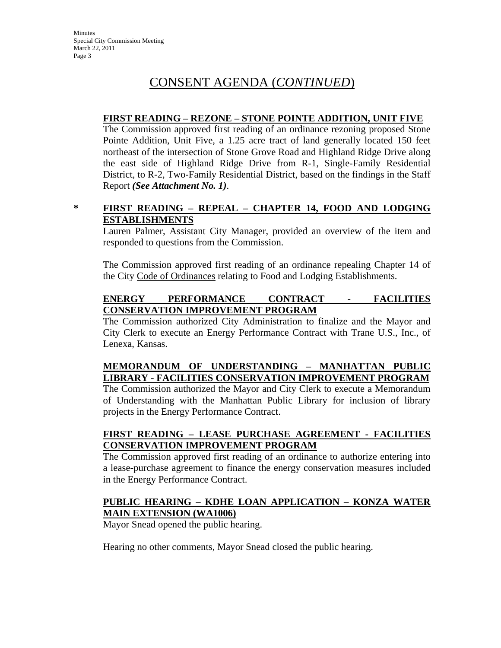### **FIRST READING – REZONE – STONE POINTE ADDITION, UNIT FIVE**

The Commission approved first reading of an ordinance rezoning proposed Stone Pointe Addition, Unit Five, a 1.25 acre tract of land generally located 150 feet northeast of the intersection of Stone Grove Road and Highland Ridge Drive along the east side of Highland Ridge Drive from R-1, Single-Family Residential District, to R-2, Two-Family Residential District, based on the findings in the Staff Report *(See Attachment No. 1)*.

### **\* FIRST READING – REPEAL – CHAPTER 14, FOOD AND LODGING ESTABLISHMENTS**

Lauren Palmer, Assistant City Manager, provided an overview of the item and responded to questions from the Commission.

The Commission approved first reading of an ordinance repealing Chapter 14 of the City Code of Ordinances relating to Food and Lodging Establishments.

### **ENERGY PERFORMANCE CONTRACT - FACILITIES CONSERVATION IMPROVEMENT PROGRAM**

The Commission authorized City Administration to finalize and the Mayor and City Clerk to execute an Energy Performance Contract with Trane U.S., Inc., of Lenexa, Kansas.

### **MEMORANDUM OF UNDERSTANDING – MANHATTAN PUBLIC LIBRARY - FACILITIES CONSERVATION IMPROVEMENT PROGRAM**

The Commission authorized the Mayor and City Clerk to execute a Memorandum of Understanding with the Manhattan Public Library for inclusion of library projects in the Energy Performance Contract.

### **FIRST READING – LEASE PURCHASE AGREEMENT - FACILITIES CONSERVATION IMPROVEMENT PROGRAM**

The Commission approved first reading of an ordinance to authorize entering into a lease-purchase agreement to finance the energy conservation measures included in the Energy Performance Contract.

### **PUBLIC HEARING – KDHE LOAN APPLICATION – KONZA WATER MAIN EXTENSION (WA1006)**

Mayor Snead opened the public hearing.

Hearing no other comments, Mayor Snead closed the public hearing.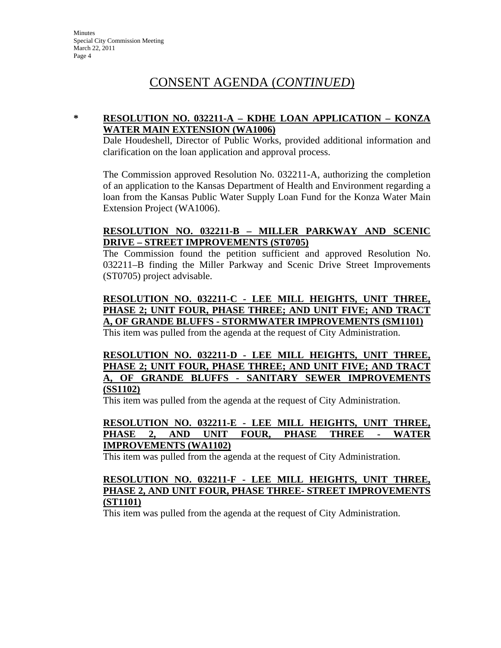### **\* RESOLUTION NO. 032211-A – KDHE LOAN APPLICATION – KONZA WATER MAIN EXTENSION (WA1006)**

Dale Houdeshell, Director of Public Works, provided additional information and clarification on the loan application and approval process.

The Commission approved Resolution No. 032211-A, authorizing the completion of an application to the Kansas Department of Health and Environment regarding a loan from the Kansas Public Water Supply Loan Fund for the Konza Water Main Extension Project (WA1006).

### **RESOLUTION NO. 032211-B – MILLER PARKWAY AND SCENIC DRIVE – STREET IMPROVEMENTS (ST0705)**

The Commission found the petition sufficient and approved Resolution No. 032211–B finding the Miller Parkway and Scenic Drive Street Improvements (ST0705) project advisable.

### **RESOLUTION NO. 032211-C - LEE MILL HEIGHTS, UNIT THREE, PHASE 2; UNIT FOUR, PHASE THREE; AND UNIT FIVE; AND TRACT A, OF GRANDE BLUFFS - STORMWATER IMPROVEMENTS (SM1101)**

This item was pulled from the agenda at the request of City Administration.

**RESOLUTION NO. 032211-D - LEE MILL HEIGHTS, UNIT THREE, PHASE 2; UNIT FOUR, PHASE THREE; AND UNIT FIVE; AND TRACT A, OF GRANDE BLUFFS - SANITARY SEWER IMPROVEMENTS (SS1102)**

This item was pulled from the agenda at the request of City Administration.

### **RESOLUTION NO. 032211-E - LEE MILL HEIGHTS, UNIT THREE, PHASE 2, AND UNIT FOUR, PHASE THREE - WATER IMPROVEMENTS (WA1102)**

This item was pulled from the agenda at the request of City Administration.

### **RESOLUTION NO. 032211-F - LEE MILL HEIGHTS, UNIT THREE, PHASE 2, AND UNIT FOUR, PHASE THREE- STREET IMPROVEMENTS (ST1101)**

This item was pulled from the agenda at the request of City Administration.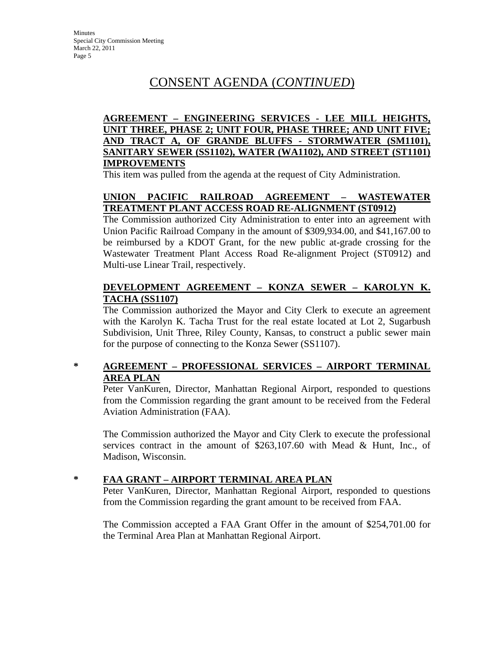### **AGREEMENT – ENGINEERING SERVICES - LEE MILL HEIGHTS, UNIT THREE, PHASE 2; UNIT FOUR, PHASE THREE; AND UNIT FIVE; AND TRACT A, OF GRANDE BLUFFS - STORMWATER (SM1101), SANITARY SEWER (SS1102), WATER (WA1102), AND STREET (ST1101) IMPROVEMENTS**

This item was pulled from the agenda at the request of City Administration.

### **UNION PACIFIC RAILROAD AGREEMENT – WASTEWATER TREATMENT PLANT ACCESS ROAD RE-ALIGNMENT (ST0912)**

The Commission authorized City Administration to enter into an agreement with Union Pacific Railroad Company in the amount of \$309,934.00, and \$41,167.00 to be reimbursed by a KDOT Grant, for the new public at-grade crossing for the Wastewater Treatment Plant Access Road Re-alignment Project (ST0912) and Multi-use Linear Trail, respectively.

### **DEVELOPMENT AGREEMENT – KONZA SEWER – KAROLYN K. TACHA (SS1107)**

The Commission authorized the Mayor and City Clerk to execute an agreement with the Karolyn K. Tacha Trust for the real estate located at Lot 2, Sugarbush Subdivision, Unit Three, Riley County, Kansas, to construct a public sewer main for the purpose of connecting to the Konza Sewer (SS1107).

### **\* AGREEMENT – PROFESSIONAL SERVICES – AIRPORT TERMINAL AREA PLAN**

Peter VanKuren, Director, Manhattan Regional Airport, responded to questions from the Commission regarding the grant amount to be received from the Federal Aviation Administration (FAA).

The Commission authorized the Mayor and City Clerk to execute the professional services contract in the amount of \$263,107.60 with Mead & Hunt, Inc., of Madison, Wisconsin.

### **\* FAA GRANT – AIRPORT TERMINAL AREA PLAN**

Peter VanKuren, Director, Manhattan Regional Airport, responded to questions from the Commission regarding the grant amount to be received from FAA.

The Commission accepted a FAA Grant Offer in the amount of \$254,701.00 for the Terminal Area Plan at Manhattan Regional Airport.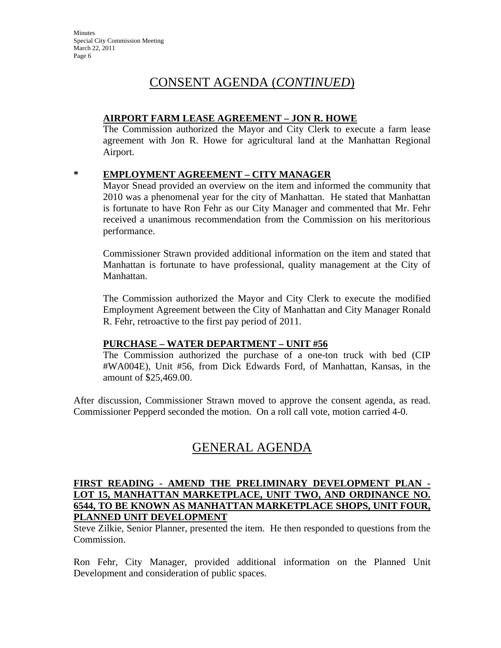### **AIRPORT FARM LEASE AGREEMENT – JON R. HOWE**

The Commission authorized the Mayor and City Clerk to execute a farm lease agreement with Jon R. Howe for agricultural land at the Manhattan Regional Airport.

### **\* EMPLOYMENT AGREEMENT – CITY MANAGER**

Mayor Snead provided an overview on the item and informed the community that 2010 was a phenomenal year for the city of Manhattan. He stated that Manhattan is fortunate to have Ron Fehr as our City Manager and commented that Mr. Fehr received a unanimous recommendation from the Commission on his meritorious performance.

Commissioner Strawn provided additional information on the item and stated that Manhattan is fortunate to have professional, quality management at the City of Manhattan.

The Commission authorized the Mayor and City Clerk to execute the modified Employment Agreement between the City of Manhattan and City Manager Ronald R. Fehr, retroactive to the first pay period of 2011.

### **PURCHASE – WATER DEPARTMENT – UNIT #56**

The Commission authorized the purchase of a one-ton truck with bed (CIP #WA004E), Unit #56, from Dick Edwards Ford, of Manhattan, Kansas, in the amount of \$25,469.00.

After discussion, Commissioner Strawn moved to approve the consent agenda, as read. Commissioner Pepperd seconded the motion. On a roll call vote, motion carried 4-0.

## GENERAL AGENDA

### **FIRST READING - AMEND THE PRELIMINARY DEVELOPMENT PLAN - LOT 15, MANHATTAN MARKETPLACE, UNIT TWO, AND ORDINANCE NO. 6544, TO BE KNOWN AS MANHATTAN MARKETPLACE SHOPS, UNIT FOUR, PLANNED UNIT DEVELOPMENT**

Steve Zilkie, Senior Planner, presented the item. He then responded to questions from the Commission.

Ron Fehr, City Manager, provided additional information on the Planned Unit Development and consideration of public spaces.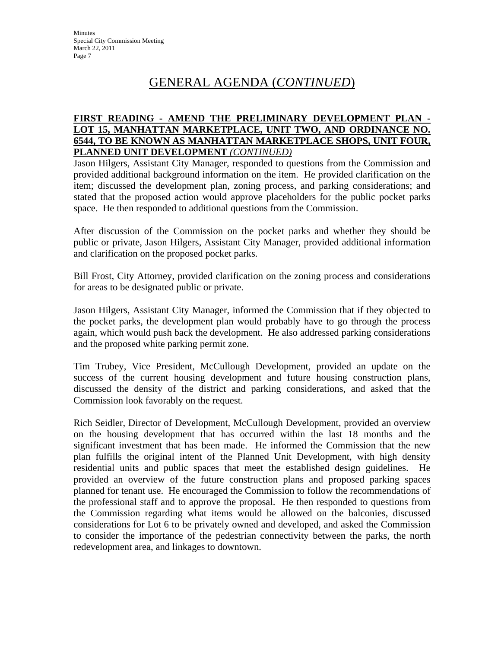### **FIRST READING - AMEND THE PRELIMINARY DEVELOPMENT PLAN - LOT 15, MANHATTAN MARKETPLACE, UNIT TWO, AND ORDINANCE NO. 6544, TO BE KNOWN AS MANHATTAN MARKETPLACE SHOPS, UNIT FOUR, PLANNED UNIT DEVELOPMENT** *(CONTINUED)*

Jason Hilgers, Assistant City Manager, responded to questions from the Commission and provided additional background information on the item. He provided clarification on the item; discussed the development plan, zoning process, and parking considerations; and stated that the proposed action would approve placeholders for the public pocket parks space. He then responded to additional questions from the Commission.

After discussion of the Commission on the pocket parks and whether they should be public or private, Jason Hilgers, Assistant City Manager, provided additional information and clarification on the proposed pocket parks.

Bill Frost, City Attorney, provided clarification on the zoning process and considerations for areas to be designated public or private.

Jason Hilgers, Assistant City Manager, informed the Commission that if they objected to the pocket parks, the development plan would probably have to go through the process again, which would push back the development. He also addressed parking considerations and the proposed white parking permit zone.

Tim Trubey, Vice President, McCullough Development, provided an update on the success of the current housing development and future housing construction plans, discussed the density of the district and parking considerations, and asked that the Commission look favorably on the request.

Rich Seidler, Director of Development, McCullough Development, provided an overview on the housing development that has occurred within the last 18 months and the significant investment that has been made. He informed the Commission that the new plan fulfills the original intent of the Planned Unit Development, with high density residential units and public spaces that meet the established design guidelines. He provided an overview of the future construction plans and proposed parking spaces planned for tenant use. He encouraged the Commission to follow the recommendations of the professional staff and to approve the proposal. He then responded to questions from the Commission regarding what items would be allowed on the balconies, discussed considerations for Lot 6 to be privately owned and developed, and asked the Commission to consider the importance of the pedestrian connectivity between the parks, the north redevelopment area, and linkages to downtown.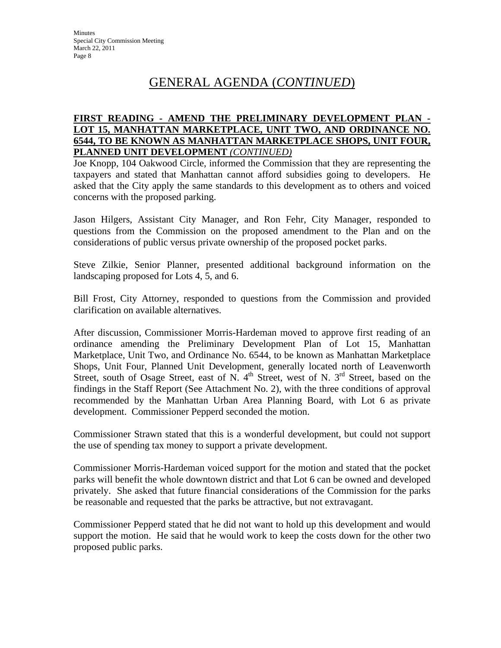### **FIRST READING - AMEND THE PRELIMINARY DEVELOPMENT PLAN - LOT 15, MANHATTAN MARKETPLACE, UNIT TWO, AND ORDINANCE NO. 6544, TO BE KNOWN AS MANHATTAN MARKETPLACE SHOPS, UNIT FOUR, PLANNED UNIT DEVELOPMENT** *(CONTINUED)*

Joe Knopp, 104 Oakwood Circle, informed the Commission that they are representing the taxpayers and stated that Manhattan cannot afford subsidies going to developers. He asked that the City apply the same standards to this development as to others and voiced concerns with the proposed parking.

Jason Hilgers, Assistant City Manager, and Ron Fehr, City Manager, responded to questions from the Commission on the proposed amendment to the Plan and on the considerations of public versus private ownership of the proposed pocket parks.

Steve Zilkie, Senior Planner, presented additional background information on the landscaping proposed for Lots 4, 5, and 6.

Bill Frost, City Attorney, responded to questions from the Commission and provided clarification on available alternatives.

After discussion, Commissioner Morris-Hardeman moved to approve first reading of an ordinance amending the Preliminary Development Plan of Lot 15, Manhattan Marketplace, Unit Two, and Ordinance No. 6544, to be known as Manhattan Marketplace Shops, Unit Four, Planned Unit Development, generally located north of Leavenworth Street, south of Osage Street, east of N.  $4<sup>th</sup>$  Street, west of N.  $3<sup>rd</sup>$  Street, based on the findings in the Staff Report (See Attachment No. 2), with the three conditions of approval recommended by the Manhattan Urban Area Planning Board, with Lot 6 as private development. Commissioner Pepperd seconded the motion.

Commissioner Strawn stated that this is a wonderful development, but could not support the use of spending tax money to support a private development.

Commissioner Morris-Hardeman voiced support for the motion and stated that the pocket parks will benefit the whole downtown district and that Lot 6 can be owned and developed privately. She asked that future financial considerations of the Commission for the parks be reasonable and requested that the parks be attractive, but not extravagant.

Commissioner Pepperd stated that he did not want to hold up this development and would support the motion. He said that he would work to keep the costs down for the other two proposed public parks.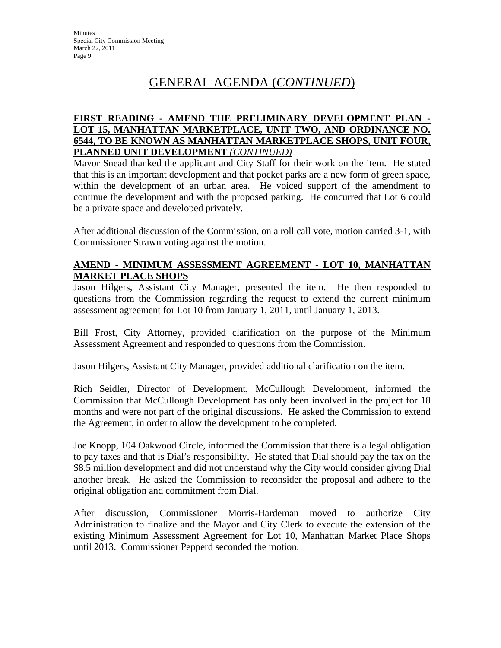### **FIRST READING - AMEND THE PRELIMINARY DEVELOPMENT PLAN - LOT 15, MANHATTAN MARKETPLACE, UNIT TWO, AND ORDINANCE NO. 6544, TO BE KNOWN AS MANHATTAN MARKETPLACE SHOPS, UNIT FOUR, PLANNED UNIT DEVELOPMENT** *(CONTINUED)*

Mayor Snead thanked the applicant and City Staff for their work on the item. He stated that this is an important development and that pocket parks are a new form of green space, within the development of an urban area. He voiced support of the amendment to continue the development and with the proposed parking. He concurred that Lot 6 could be a private space and developed privately.

After additional discussion of the Commission, on a roll call vote, motion carried 3-1, with Commissioner Strawn voting against the motion.

### **AMEND - MINIMUM ASSESSMENT AGREEMENT - LOT 10, MANHATTAN MARKET PLACE SHOPS**

Jason Hilgers, Assistant City Manager, presented the item. He then responded to questions from the Commission regarding the request to extend the current minimum assessment agreement for Lot 10 from January 1, 2011, until January 1, 2013.

Bill Frost, City Attorney, provided clarification on the purpose of the Minimum Assessment Agreement and responded to questions from the Commission.

Jason Hilgers, Assistant City Manager, provided additional clarification on the item.

Rich Seidler, Director of Development, McCullough Development, informed the Commission that McCullough Development has only been involved in the project for 18 months and were not part of the original discussions. He asked the Commission to extend the Agreement, in order to allow the development to be completed.

Joe Knopp, 104 Oakwood Circle, informed the Commission that there is a legal obligation to pay taxes and that is Dial's responsibility. He stated that Dial should pay the tax on the \$8.5 million development and did not understand why the City would consider giving Dial another break. He asked the Commission to reconsider the proposal and adhere to the original obligation and commitment from Dial.

After discussion, Commissioner Morris-Hardeman moved to authorize City Administration to finalize and the Mayor and City Clerk to execute the extension of the existing Minimum Assessment Agreement for Lot 10, Manhattan Market Place Shops until 2013. Commissioner Pepperd seconded the motion.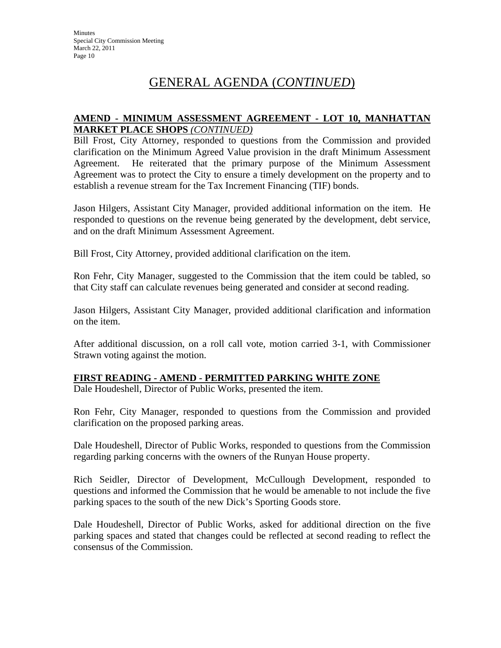### **AMEND - MINIMUM ASSESSMENT AGREEMENT - LOT 10, MANHATTAN MARKET PLACE SHOPS** *(CONTINUED)*

Bill Frost, City Attorney, responded to questions from the Commission and provided clarification on the Minimum Agreed Value provision in the draft Minimum Assessment Agreement. He reiterated that the primary purpose of the Minimum Assessment Agreement was to protect the City to ensure a timely development on the property and to establish a revenue stream for the Tax Increment Financing (TIF) bonds.

Jason Hilgers, Assistant City Manager, provided additional information on the item. He responded to questions on the revenue being generated by the development, debt service, and on the draft Minimum Assessment Agreement.

Bill Frost, City Attorney, provided additional clarification on the item.

Ron Fehr, City Manager, suggested to the Commission that the item could be tabled, so that City staff can calculate revenues being generated and consider at second reading.

Jason Hilgers, Assistant City Manager, provided additional clarification and information on the item.

After additional discussion, on a roll call vote, motion carried 3-1, with Commissioner Strawn voting against the motion.

### **FIRST READING - AMEND - PERMITTED PARKING WHITE ZONE**

Dale Houdeshell, Director of Public Works, presented the item.

Ron Fehr, City Manager, responded to questions from the Commission and provided clarification on the proposed parking areas.

Dale Houdeshell, Director of Public Works, responded to questions from the Commission regarding parking concerns with the owners of the Runyan House property.

Rich Seidler, Director of Development, McCullough Development, responded to questions and informed the Commission that he would be amenable to not include the five parking spaces to the south of the new Dick's Sporting Goods store.

Dale Houdeshell, Director of Public Works, asked for additional direction on the five parking spaces and stated that changes could be reflected at second reading to reflect the consensus of the Commission.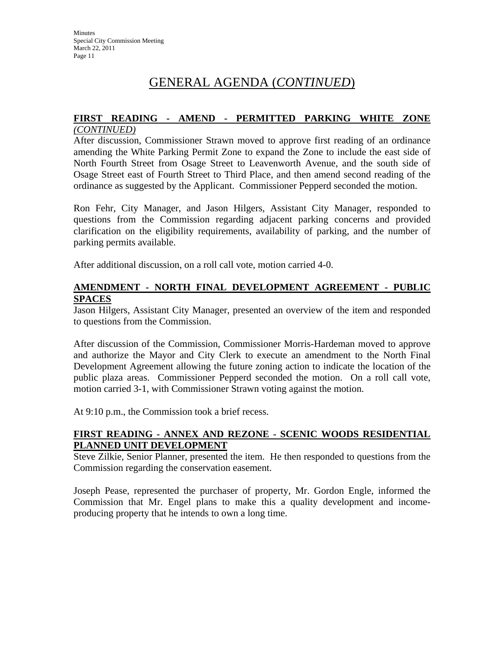## **FIRST READING - AMEND - PERMITTED PARKING WHITE ZONE**

### *(CONTINUED)*

After discussion, Commissioner Strawn moved to approve first reading of an ordinance amending the White Parking Permit Zone to expand the Zone to include the east side of North Fourth Street from Osage Street to Leavenworth Avenue, and the south side of Osage Street east of Fourth Street to Third Place, and then amend second reading of the ordinance as suggested by the Applicant. Commissioner Pepperd seconded the motion.

Ron Fehr, City Manager, and Jason Hilgers, Assistant City Manager, responded to questions from the Commission regarding adjacent parking concerns and provided clarification on the eligibility requirements, availability of parking, and the number of parking permits available.

After additional discussion, on a roll call vote, motion carried 4-0.

### **AMENDMENT - NORTH FINAL DEVELOPMENT AGREEMENT - PUBLIC SPACES**

Jason Hilgers, Assistant City Manager, presented an overview of the item and responded to questions from the Commission.

After discussion of the Commission, Commissioner Morris-Hardeman moved to approve and authorize the Mayor and City Clerk to execute an amendment to the North Final Development Agreement allowing the future zoning action to indicate the location of the public plaza areas. Commissioner Pepperd seconded the motion. On a roll call vote, motion carried 3-1, with Commissioner Strawn voting against the motion.

At 9:10 p.m., the Commission took a brief recess.

### **FIRST READING - ANNEX AND REZONE - SCENIC WOODS RESIDENTIAL PLANNED UNIT DEVELOPMENT**

Steve Zilkie, Senior Planner, presented the item. He then responded to questions from the Commission regarding the conservation easement.

Joseph Pease, represented the purchaser of property, Mr. Gordon Engle, informed the Commission that Mr. Engel plans to make this a quality development and incomeproducing property that he intends to own a long time.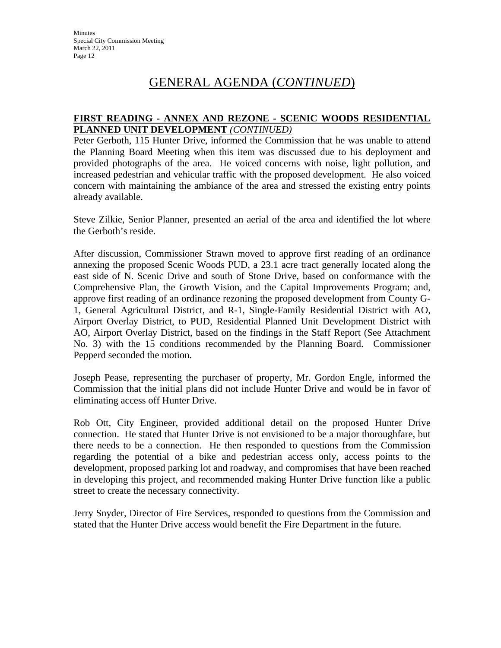### **FIRST READING - ANNEX AND REZONE - SCENIC WOODS RESIDENTIAL PLANNED UNIT DEVELOPMENT** *(CONTINUED)*

Peter Gerboth, 115 Hunter Drive, informed the Commission that he was unable to attend the Planning Board Meeting when this item was discussed due to his deployment and provided photographs of the area. He voiced concerns with noise, light pollution, and increased pedestrian and vehicular traffic with the proposed development. He also voiced concern with maintaining the ambiance of the area and stressed the existing entry points already available.

Steve Zilkie, Senior Planner, presented an aerial of the area and identified the lot where the Gerboth's reside.

After discussion, Commissioner Strawn moved to approve first reading of an ordinance annexing the proposed Scenic Woods PUD, a 23.1 acre tract generally located along the east side of N. Scenic Drive and south of Stone Drive, based on conformance with the Comprehensive Plan, the Growth Vision, and the Capital Improvements Program; and, approve first reading of an ordinance rezoning the proposed development from County G-1, General Agricultural District, and R-1, Single-Family Residential District with AO, Airport Overlay District, to PUD, Residential Planned Unit Development District with AO, Airport Overlay District, based on the findings in the Staff Report (See Attachment No. 3) with the 15 conditions recommended by the Planning Board. Commissioner Pepperd seconded the motion.

Joseph Pease, representing the purchaser of property, Mr. Gordon Engle, informed the Commission that the initial plans did not include Hunter Drive and would be in favor of eliminating access off Hunter Drive.

Rob Ott, City Engineer, provided additional detail on the proposed Hunter Drive connection. He stated that Hunter Drive is not envisioned to be a major thoroughfare, but there needs to be a connection. He then responded to questions from the Commission regarding the potential of a bike and pedestrian access only, access points to the development, proposed parking lot and roadway, and compromises that have been reached in developing this project, and recommended making Hunter Drive function like a public street to create the necessary connectivity.

Jerry Snyder, Director of Fire Services, responded to questions from the Commission and stated that the Hunter Drive access would benefit the Fire Department in the future.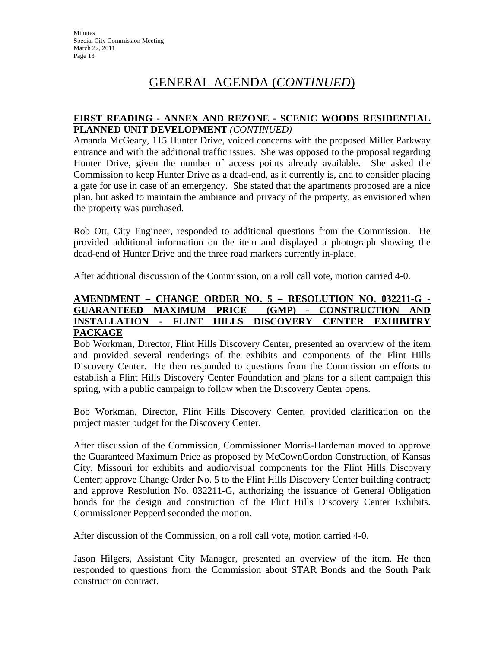### **FIRST READING - ANNEX AND REZONE - SCENIC WOODS RESIDENTIAL PLANNED UNIT DEVELOPMENT** *(CONTINUED)*

Amanda McGeary, 115 Hunter Drive, voiced concerns with the proposed Miller Parkway entrance and with the additional traffic issues. She was opposed to the proposal regarding Hunter Drive, given the number of access points already available. She asked the Commission to keep Hunter Drive as a dead-end, as it currently is, and to consider placing a gate for use in case of an emergency. She stated that the apartments proposed are a nice plan, but asked to maintain the ambiance and privacy of the property, as envisioned when the property was purchased.

Rob Ott, City Engineer, responded to additional questions from the Commission. He provided additional information on the item and displayed a photograph showing the dead-end of Hunter Drive and the three road markers currently in-place.

After additional discussion of the Commission, on a roll call vote, motion carried 4-0.

### **AMENDMENT – CHANGE ORDER NO. 5 – RESOLUTION NO. 032211-G - GUARANTEED MAXIMUM PRICE (GMP) - CONSTRUCTION AND INSTALLATION - FLINT HILLS DISCOVERY CENTER EXHIBITRY PACKAGE**

Bob Workman, Director, Flint Hills Discovery Center, presented an overview of the item and provided several renderings of the exhibits and components of the Flint Hills Discovery Center. He then responded to questions from the Commission on efforts to establish a Flint Hills Discovery Center Foundation and plans for a silent campaign this spring, with a public campaign to follow when the Discovery Center opens.

Bob Workman, Director, Flint Hills Discovery Center, provided clarification on the project master budget for the Discovery Center.

After discussion of the Commission, Commissioner Morris-Hardeman moved to approve the Guaranteed Maximum Price as proposed by McCownGordon Construction, of Kansas City, Missouri for exhibits and audio/visual components for the Flint Hills Discovery Center; approve Change Order No. 5 to the Flint Hills Discovery Center building contract; and approve Resolution No. 032211-G, authorizing the issuance of General Obligation bonds for the design and construction of the Flint Hills Discovery Center Exhibits. Commissioner Pepperd seconded the motion.

After discussion of the Commission, on a roll call vote, motion carried 4-0.

Jason Hilgers, Assistant City Manager, presented an overview of the item. He then responded to questions from the Commission about STAR Bonds and the South Park construction contract.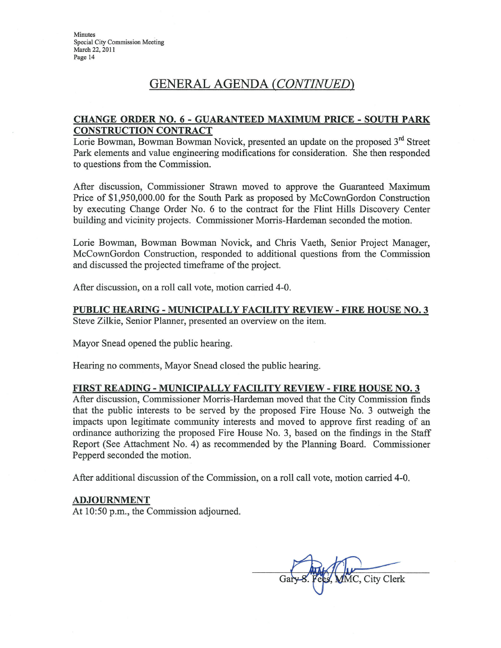Minutes Special City Commission Meeting March 22, 2011 Page 14

### GENERAL AGENDA (CONTINUED)

#### **CHANGE ORDER NO. 6 - GUARANTEED MAXIMUM PRICE - SOUTH PARK CONSTRUCTION CONTRACT**

Lorie Bowman, Bowman Bowman Novick, presented an update on the proposed 3<sup>rd</sup> Street Park elements and value engineering modifications for consideration. She then responded to questions from the Commission.

After discussion, Commissioner Strawn moved to approve the Guaranteed Maximum Price of \$1,950,000.00 for the South Park as proposed by McCownGordon Construction by executing Change Order No. 6 to the contract for the Flint Hills Discovery Center building and vicinity projects. Commissioner Morris-Hardeman seconded the motion.

Lorie Bowman, Bowman Bowman Novick, and Chris Vaeth, Senior Project Manager, McCownGordon Construction, responded to additional questions from the Commission and discussed the projected timeframe of the project.

After discussion, on a roll call vote, motion carried 4-0.

#### PUBLIC HEARING - MUNICIPALLY FACILITY REVIEW - FIRE HOUSE NO. 3 Steve Zilkie, Senior Planner, presented an overview on the item.

Mayor Snead opened the public hearing.

Hearing no comments, Mayor Snead closed the public hearing.

#### **FIRST READING - MUNICIPALLY FACILITY REVIEW - FIRE HOUSE NO. 3**

After discussion, Commissioner Morris-Hardeman moved that the City Commission finds that the public interests to be served by the proposed Fire House No. 3 outweigh the impacts upon legitimate community interests and moved to approve first reading of an ordinance authorizing the proposed Fire House No. 3, based on the findings in the Staff Report (See Attachment No. 4) as recommended by the Planning Board. Commissioner Pepperd seconded the motion.

After additional discussion of the Commission, on a roll call vote, motion carried 4-0.

#### **ADJOURNMENT**

At 10:50 p.m., the Commission adjourned.

City Clerk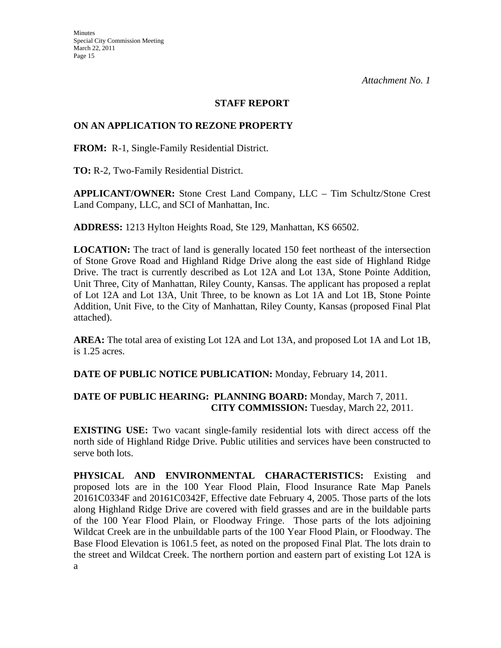### **STAFF REPORT**

### **ON AN APPLICATION TO REZONE PROPERTY**

**FROM:** R-1, Single-Family Residential District.

**TO:** R-2, Two-Family Residential District.

**APPLICANT/OWNER:** Stone Crest Land Company, LLC – Tim Schultz/Stone Crest Land Company, LLC, and SCI of Manhattan, Inc.

**ADDRESS:** 1213 Hylton Heights Road, Ste 129, Manhattan, KS 66502.

**LOCATION:** The tract of land is generally located 150 feet northeast of the intersection of Stone Grove Road and Highland Ridge Drive along the east side of Highland Ridge Drive. The tract is currently described as Lot 12A and Lot 13A, Stone Pointe Addition, Unit Three, City of Manhattan, Riley County, Kansas. The applicant has proposed a replat of Lot 12A and Lot 13A, Unit Three, to be known as Lot 1A and Lot 1B, Stone Pointe Addition, Unit Five, to the City of Manhattan, Riley County, Kansas (proposed Final Plat attached).

**AREA:** The total area of existing Lot 12A and Lot 13A, and proposed Lot 1A and Lot 1B, is 1.25 acres.

**DATE OF PUBLIC NOTICE PUBLICATION:** Monday, February 14, 2011.

### **DATE OF PUBLIC HEARING: PLANNING BOARD:** Monday, March 7, 2011. **CITY COMMISSION:** Tuesday, March 22, 2011.

**EXISTING USE:** Two vacant single-family residential lots with direct access off the north side of Highland Ridge Drive. Public utilities and services have been constructed to serve both lots.

**PHYSICAL AND ENVIRONMENTAL CHARACTERISTICS:** Existing and proposed lots are in the 100 Year Flood Plain, Flood Insurance Rate Map Panels 20161C0334F and 20161C0342F, Effective date February 4, 2005. Those parts of the lots along Highland Ridge Drive are covered with field grasses and are in the buildable parts of the 100 Year Flood Plain, or Floodway Fringe. Those parts of the lots adjoining Wildcat Creek are in the unbuildable parts of the 100 Year Flood Plain, or Floodway. The Base Flood Elevation is 1061.5 feet, as noted on the proposed Final Plat. The lots drain to the street and Wildcat Creek. The northern portion and eastern part of existing Lot 12A is a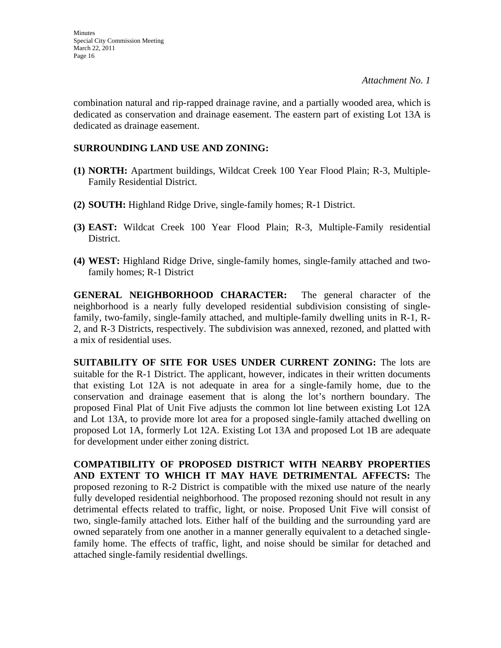combination natural and rip-rapped drainage ravine, and a partially wooded area, which is dedicated as conservation and drainage easement. The eastern part of existing Lot 13A is dedicated as drainage easement.

### **SURROUNDING LAND USE AND ZONING:**

- **(1) NORTH:** Apartment buildings, Wildcat Creek 100 Year Flood Plain; R-3, Multiple-Family Residential District.
- **(2) SOUTH:** Highland Ridge Drive, single-family homes; R-1 District.
- **(3) EAST:** Wildcat Creek 100 Year Flood Plain; R-3, Multiple-Family residential District.
- **(4) WEST:** Highland Ridge Drive, single-family homes, single-family attached and twofamily homes; R-1 District

**GENERAL NEIGHBORHOOD CHARACTER:** The general character of the neighborhood is a nearly fully developed residential subdivision consisting of singlefamily, two-family, single-family attached, and multiple-family dwelling units in R-1, R-2, and R-3 Districts, respectively. The subdivision was annexed, rezoned, and platted with a mix of residential uses.

**SUITABILITY OF SITE FOR USES UNDER CURRENT ZONING:** The lots are suitable for the R-1 District. The applicant, however, indicates in their written documents that existing Lot 12A is not adequate in area for a single-family home, due to the conservation and drainage easement that is along the lot's northern boundary. The proposed Final Plat of Unit Five adjusts the common lot line between existing Lot 12A and Lot 13A, to provide more lot area for a proposed single-family attached dwelling on proposed Lot 1A, formerly Lot 12A. Existing Lot 13A and proposed Lot 1B are adequate for development under either zoning district.

**COMPATIBILITY OF PROPOSED DISTRICT WITH NEARBY PROPERTIES AND EXTENT TO WHICH IT MAY HAVE DETRIMENTAL AFFECTS:** The proposed rezoning to R-2 District is compatible with the mixed use nature of the nearly fully developed residential neighborhood. The proposed rezoning should not result in any detrimental effects related to traffic, light, or noise. Proposed Unit Five will consist of two, single-family attached lots. Either half of the building and the surrounding yard are owned separately from one another in a manner generally equivalent to a detached singlefamily home. The effects of traffic, light, and noise should be similar for detached and attached single-family residential dwellings.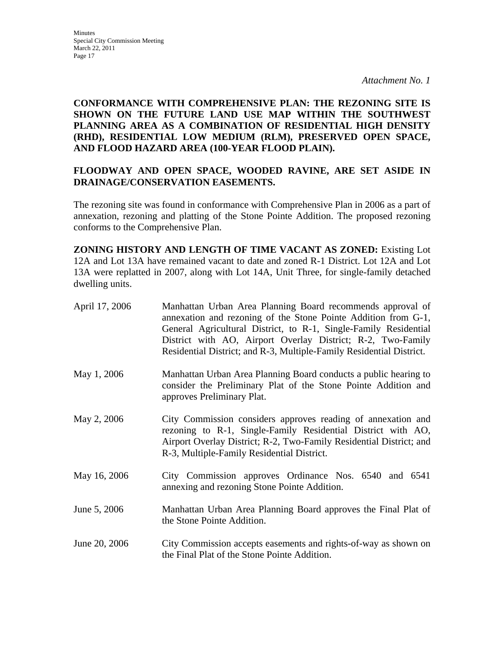**CONFORMANCE WITH COMPREHENSIVE PLAN: THE REZONING SITE IS SHOWN ON THE FUTURE LAND USE MAP WITHIN THE SOUTHWEST PLANNING AREA AS A COMBINATION OF RESIDENTIAL HIGH DENSITY (RHD), RESIDENTIAL LOW MEDIUM (RLM), PRESERVED OPEN SPACE, AND FLOOD HAZARD AREA (100-YEAR FLOOD PLAIN).** 

### **FLOODWAY AND OPEN SPACE, WOODED RAVINE, ARE SET ASIDE IN DRAINAGE/CONSERVATION EASEMENTS.**

The rezoning site was found in conformance with Comprehensive Plan in 2006 as a part of annexation, rezoning and platting of the Stone Pointe Addition. The proposed rezoning conforms to the Comprehensive Plan.

**ZONING HISTORY AND LENGTH OF TIME VACANT AS ZONED:** Existing Lot 12A and Lot 13A have remained vacant to date and zoned R-1 District. Lot 12A and Lot 13A were replatted in 2007, along with Lot 14A, Unit Three, for single-family detached dwelling units.

| April 17, 2006 | Manhattan Urban Area Planning Board recommends approval of<br>annexation and rezoning of the Stone Pointe Addition from G-1,<br>General Agricultural District, to R-1, Single-Family Residential<br>District with AO, Airport Overlay District; R-2, Two-Family<br>Residential District; and R-3, Multiple-Family Residential District. |
|----------------|-----------------------------------------------------------------------------------------------------------------------------------------------------------------------------------------------------------------------------------------------------------------------------------------------------------------------------------------|
| May 1, 2006    | Manhattan Urban Area Planning Board conducts a public hearing to<br>consider the Preliminary Plat of the Stone Pointe Addition and<br>approves Preliminary Plat.                                                                                                                                                                        |
| May 2, 2006    | City Commission considers approves reading of annexation and<br>rezoning to R-1, Single-Family Residential District with AO,<br>Airport Overlay District; R-2, Two-Family Residential District; and<br>R-3, Multiple-Family Residential District.                                                                                       |
| May 16, 2006   | City Commission approves Ordinance Nos. 6540 and 6541<br>annexing and rezoning Stone Pointe Addition.                                                                                                                                                                                                                                   |
| June 5, 2006   | Manhattan Urban Area Planning Board approves the Final Plat of<br>the Stone Pointe Addition.                                                                                                                                                                                                                                            |
| June 20, 2006  | City Commission accepts easements and rights-of-way as shown on<br>the Final Plat of the Stone Pointe Addition.                                                                                                                                                                                                                         |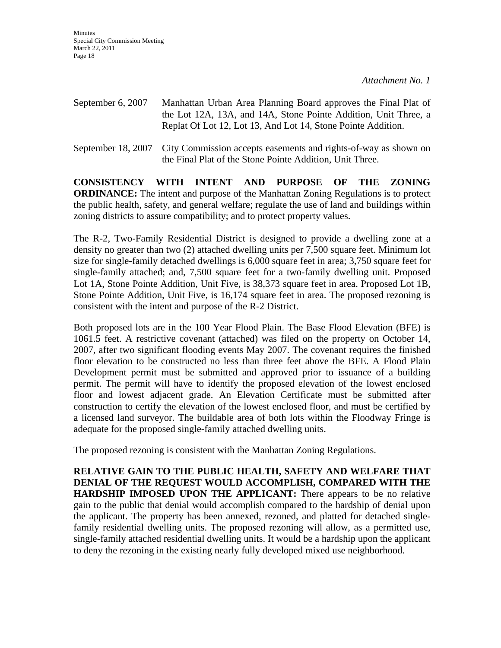**Minutes** Special City Commission Meeting March 22, 2011 Page 18

*Attachment No. 1* 

- September 6, 2007 Manhattan Urban Area Planning Board approves the Final Plat of the Lot 12A, 13A, and 14A, Stone Pointe Addition, Unit Three, a Replat Of Lot 12, Lot 13, And Lot 14, Stone Pointe Addition.
- September 18, 2007 City Commission accepts easements and rights-of-way as shown on the Final Plat of the Stone Pointe Addition, Unit Three.

**CONSISTENCY WITH INTENT AND PURPOSE OF THE ZONING ORDINANCE:** The intent and purpose of the Manhattan Zoning Regulations is to protect the public health, safety, and general welfare; regulate the use of land and buildings within zoning districts to assure compatibility; and to protect property values.

The R-2, Two-Family Residential District is designed to provide a dwelling zone at a density no greater than two (2) attached dwelling units per 7,500 square feet. Minimum lot size for single-family detached dwellings is 6,000 square feet in area; 3,750 square feet for single-family attached; and, 7,500 square feet for a two-family dwelling unit. Proposed Lot 1A, Stone Pointe Addition, Unit Five, is 38,373 square feet in area. Proposed Lot 1B, Stone Pointe Addition, Unit Five, is 16,174 square feet in area. The proposed rezoning is consistent with the intent and purpose of the R-2 District.

Both proposed lots are in the 100 Year Flood Plain. The Base Flood Elevation (BFE) is 1061.5 feet. A restrictive covenant (attached) was filed on the property on October 14, 2007, after two significant flooding events May 2007. The covenant requires the finished floor elevation to be constructed no less than three feet above the BFE. A Flood Plain Development permit must be submitted and approved prior to issuance of a building permit. The permit will have to identify the proposed elevation of the lowest enclosed floor and lowest adjacent grade. An Elevation Certificate must be submitted after construction to certify the elevation of the lowest enclosed floor, and must be certified by a licensed land surveyor. The buildable area of both lots within the Floodway Fringe is adequate for the proposed single-family attached dwelling units.

The proposed rezoning is consistent with the Manhattan Zoning Regulations.

**RELATIVE GAIN TO THE PUBLIC HEALTH, SAFETY AND WELFARE THAT DENIAL OF THE REQUEST WOULD ACCOMPLISH, COMPARED WITH THE HARDSHIP IMPOSED UPON THE APPLICANT:** There appears to be no relative gain to the public that denial would accomplish compared to the hardship of denial upon the applicant. The property has been annexed, rezoned, and platted for detached singlefamily residential dwelling units. The proposed rezoning will allow, as a permitted use, single-family attached residential dwelling units. It would be a hardship upon the applicant to deny the rezoning in the existing nearly fully developed mixed use neighborhood.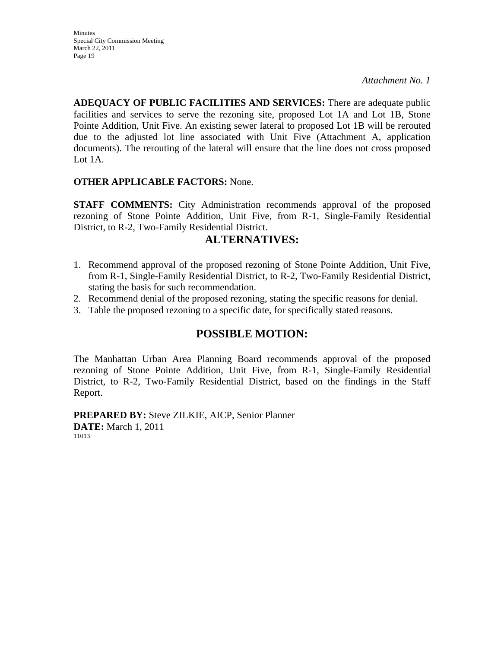**ADEQUACY OF PUBLIC FACILITIES AND SERVICES:** There are adequate public facilities and services to serve the rezoning site, proposed Lot 1A and Lot 1B, Stone Pointe Addition, Unit Five. An existing sewer lateral to proposed Lot 1B will be rerouted due to the adjusted lot line associated with Unit Five (Attachment A, application documents). The rerouting of the lateral will ensure that the line does not cross proposed Lot 1A.

### **OTHER APPLICABLE FACTORS:** None.

**STAFF COMMENTS:** City Administration recommends approval of the proposed rezoning of Stone Pointe Addition, Unit Five, from R-1, Single-Family Residential District, to R-2, Two-Family Residential District.

### **ALTERNATIVES:**

- 1. Recommend approval of the proposed rezoning of Stone Pointe Addition, Unit Five, from R-1, Single-Family Residential District, to R-2, Two-Family Residential District, stating the basis for such recommendation.
- 2. Recommend denial of the proposed rezoning, stating the specific reasons for denial.
- 3. Table the proposed rezoning to a specific date, for specifically stated reasons.

### **POSSIBLE MOTION:**

The Manhattan Urban Area Planning Board recommends approval of the proposed rezoning of Stone Pointe Addition, Unit Five, from R-1, Single-Family Residential District, to R-2, Two-Family Residential District, based on the findings in the Staff Report.

**PREPARED BY:** Steve ZILKIE, AICP, Senior Planner **DATE:** March 1, 2011 11013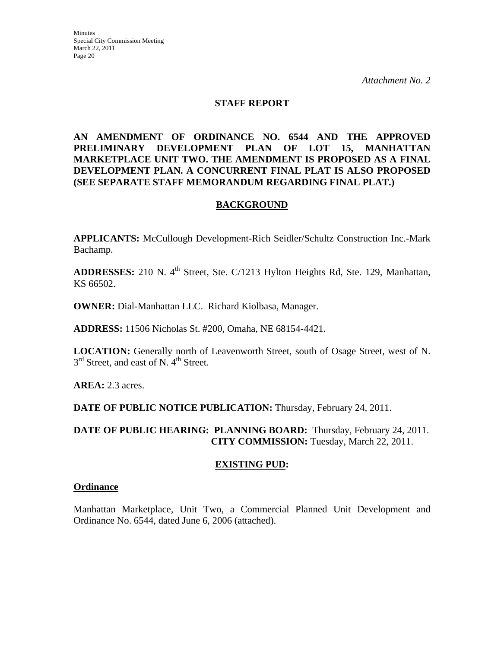### **STAFF REPORT**

**AN AMENDMENT OF ORDINANCE NO. 6544 AND THE APPROVED PRELIMINARY DEVELOPMENT PLAN OF LOT 15, MANHATTAN MARKETPLACE UNIT TWO. THE AMENDMENT IS PROPOSED AS A FINAL DEVELOPMENT PLAN. A CONCURRENT FINAL PLAT IS ALSO PROPOSED (SEE SEPARATE STAFF MEMORANDUM REGARDING FINAL PLAT.)** 

### **BACKGROUND**

**APPLICANTS:** McCullough Development-Rich Seidler/Schultz Construction Inc.-Mark Bachamp.

ADDRESSES: 210 N. 4<sup>th</sup> Street, Ste. C/1213 Hylton Heights Rd, Ste. 129, Manhattan, KS 66502.

**OWNER:** Dial-Manhattan LLC. Richard Kiolbasa, Manager.

**ADDRESS:** 11506 Nicholas St. #200, Omaha, NE 68154-4421.

**LOCATION:** Generally north of Leavenworth Street, south of Osage Street, west of N.  $3<sup>rd</sup>$  Street, and east of N. 4<sup>th</sup> Street.

**AREA:** 2.3 acres.

**DATE OF PUBLIC NOTICE PUBLICATION:** Thursday, February 24, 2011.

**DATE OF PUBLIC HEARING: PLANNING BOARD:** Thursday, February 24, 2011. **CITY COMMISSION:** Tuesday, March 22, 2011.

### **EXISTING PUD:**

### **Ordinance**

Manhattan Marketplace, Unit Two, a Commercial Planned Unit Development and Ordinance No. 6544, dated June 6, 2006 (attached).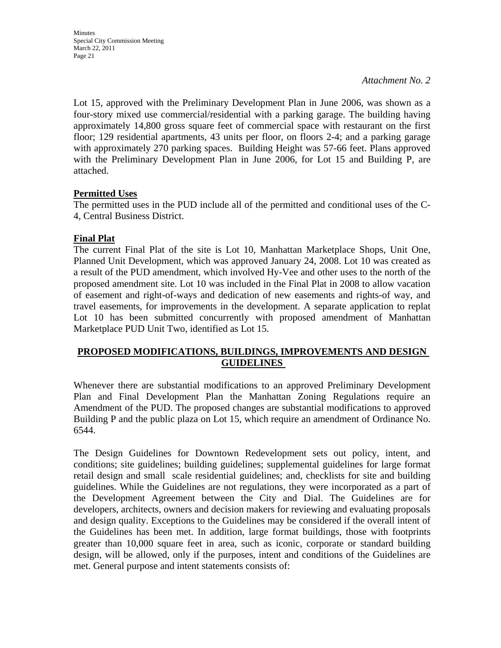Lot 15, approved with the Preliminary Development Plan in June 2006, was shown as a four-story mixed use commercial/residential with a parking garage. The building having approximately 14,800 gross square feet of commercial space with restaurant on the first floor; 129 residential apartments, 43 units per floor, on floors 2-4; and a parking garage with approximately 270 parking spaces. Building Height was 57-66 feet. Plans approved with the Preliminary Development Plan in June 2006, for Lot 15 and Building P, are attached.

### **Permitted Uses**

The permitted uses in the PUD include all of the permitted and conditional uses of the C-4, Central Business District.

### **Final Plat**

The current Final Plat of the site is Lot 10, Manhattan Marketplace Shops, Unit One, Planned Unit Development, which was approved January 24, 2008. Lot 10 was created as a result of the PUD amendment, which involved Hy-Vee and other uses to the north of the proposed amendment site. Lot 10 was included in the Final Plat in 2008 to allow vacation of easement and right-of-ways and dedication of new easements and rights-of way, and travel easements, for improvements in the development. A separate application to replat Lot 10 has been submitted concurrently with proposed amendment of Manhattan Marketplace PUD Unit Two, identified as Lot 15.

### **PROPOSED MODIFICATIONS, BUILDINGS, IMPROVEMENTS AND DESIGN GUIDELINES**

Whenever there are substantial modifications to an approved Preliminary Development Plan and Final Development Plan the Manhattan Zoning Regulations require an Amendment of the PUD. The proposed changes are substantial modifications to approved Building P and the public plaza on Lot 15, which require an amendment of Ordinance No. 6544.

The Design Guidelines for Downtown Redevelopment sets out policy, intent, and conditions; site guidelines; building guidelines; supplemental guidelines for large format retail design and small scale residential guidelines; and, checklists for site and building guidelines. While the Guidelines are not regulations, they were incorporated as a part of the Development Agreement between the City and Dial. The Guidelines are for developers, architects, owners and decision makers for reviewing and evaluating proposals and design quality. Exceptions to the Guidelines may be considered if the overall intent of the Guidelines has been met. In addition, large format buildings, those with footprints greater than 10,000 square feet in area, such as iconic, corporate or standard building design, will be allowed, only if the purposes, intent and conditions of the Guidelines are met. General purpose and intent statements consists of: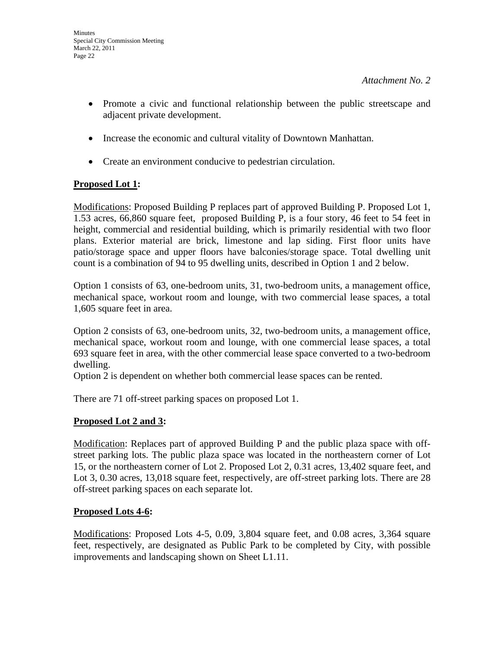**Minutes** 

*Attachment No. 2* 

- Promote a civic and functional relationship between the public streetscape and adjacent private development.
- Increase the economic and cultural vitality of Downtown Manhattan.
- Create an environment conducive to pedestrian circulation.

### **Proposed Lot 1:**

Modifications: Proposed Building P replaces part of approved Building P. Proposed Lot 1, 1.53 acres, 66,860 square feet, proposed Building P, is a four story, 46 feet to 54 feet in height, commercial and residential building, which is primarily residential with two floor plans. Exterior material are brick, limestone and lap siding. First floor units have patio/storage space and upper floors have balconies/storage space. Total dwelling unit count is a combination of 94 to 95 dwelling units, described in Option 1 and 2 below.

Option 1 consists of 63, one-bedroom units, 31, two-bedroom units, a management office, mechanical space, workout room and lounge, with two commercial lease spaces, a total 1,605 square feet in area.

Option 2 consists of 63, one-bedroom units, 32, two-bedroom units, a management office, mechanical space, workout room and lounge, with one commercial lease spaces, a total 693 square feet in area, with the other commercial lease space converted to a two-bedroom dwelling.

Option 2 is dependent on whether both commercial lease spaces can be rented.

There are 71 off-street parking spaces on proposed Lot 1.

### **Proposed Lot 2 and 3:**

Modification: Replaces part of approved Building P and the public plaza space with offstreet parking lots. The public plaza space was located in the northeastern corner of Lot 15, or the northeastern corner of Lot 2. Proposed Lot 2, 0.31 acres, 13,402 square feet, and Lot 3, 0.30 acres, 13,018 square feet, respectively, are off-street parking lots. There are 28 off-street parking spaces on each separate lot.

### **Proposed Lots 4-6:**

Modifications: Proposed Lots 4-5, 0.09, 3,804 square feet, and 0.08 acres, 3,364 square feet, respectively, are designated as Public Park to be completed by City, with possible improvements and landscaping shown on Sheet L1.11.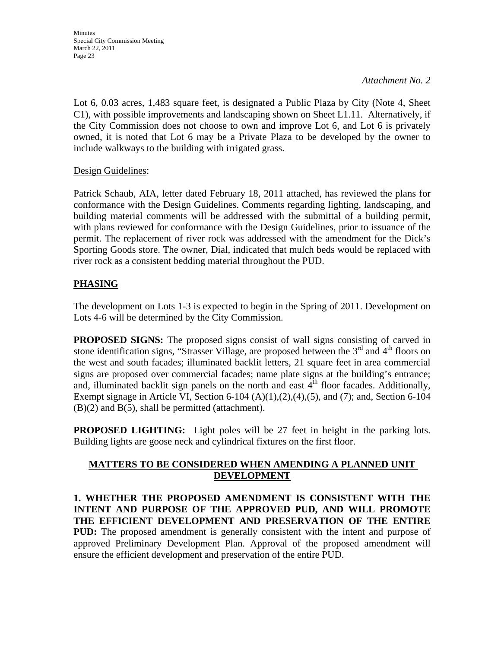Lot 6, 0.03 acres, 1,483 square feet, is designated a Public Plaza by City (Note 4, Sheet C1), with possible improvements and landscaping shown on Sheet L1.11. Alternatively, if the City Commission does not choose to own and improve Lot 6, and Lot 6 is privately owned, it is noted that Lot 6 may be a Private Plaza to be developed by the owner to include walkways to the building with irrigated grass.

Design Guidelines:

Patrick Schaub, AIA, letter dated February 18, 2011 attached, has reviewed the plans for conformance with the Design Guidelines. Comments regarding lighting, landscaping, and building material comments will be addressed with the submittal of a building permit, with plans reviewed for conformance with the Design Guidelines, prior to issuance of the permit. The replacement of river rock was addressed with the amendment for the Dick's Sporting Goods store. The owner, Dial, indicated that mulch beds would be replaced with river rock as a consistent bedding material throughout the PUD.

### **PHASING**

The development on Lots 1-3 is expected to begin in the Spring of 2011. Development on Lots 4-6 will be determined by the City Commission.

**PROPOSED SIGNS:** The proposed signs consist of wall signs consisting of carved in stone identification signs, "Strasser Village, are proposed between the  $3<sup>rd</sup>$  and  $4<sup>th</sup>$  floors on the west and south facades; illuminated backlit letters, 21 square feet in area commercial signs are proposed over commercial facades; name plate signs at the building's entrance; and, illuminated backlit sign panels on the north and east  $4<sup>th</sup>$  floor facades. Additionally, Exempt signage in Article VI, Section 6-104  $(A)(1),(2),(4),(5)$ , and  $(7)$ ; and, Section 6-104  $(B)(2)$  and  $B(5)$ , shall be permitted (attachment).

**PROPOSED LIGHTING:** Light poles will be 27 feet in height in the parking lots. Building lights are goose neck and cylindrical fixtures on the first floor.

### **MATTERS TO BE CONSIDERED WHEN AMENDING A PLANNED UNIT DEVELOPMENT**

**1. WHETHER THE PROPOSED AMENDMENT IS CONSISTENT WITH THE INTENT AND PURPOSE OF THE APPROVED PUD, AND WILL PROMOTE THE EFFICIENT DEVELOPMENT AND PRESERVATION OF THE ENTIRE PUD:** The proposed amendment is generally consistent with the intent and purpose of approved Preliminary Development Plan. Approval of the proposed amendment will ensure the efficient development and preservation of the entire PUD.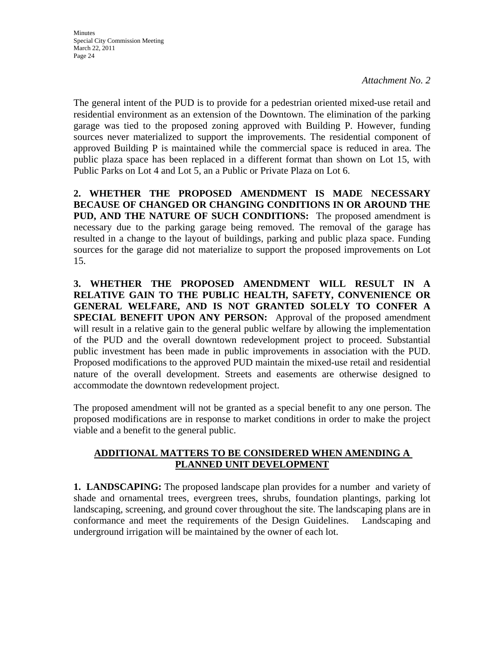The general intent of the PUD is to provide for a pedestrian oriented mixed-use retail and residential environment as an extension of the Downtown. The elimination of the parking garage was tied to the proposed zoning approved with Building P. However, funding sources never materialized to support the improvements. The residential component of approved Building P is maintained while the commercial space is reduced in area. The public plaza space has been replaced in a different format than shown on Lot 15, with Public Parks on Lot 4 and Lot 5, an a Public or Private Plaza on Lot 6.

**2. WHETHER THE PROPOSED AMENDMENT IS MADE NECESSARY BECAUSE OF CHANGED OR CHANGING CONDITIONS IN OR AROUND THE PUD, AND THE NATURE OF SUCH CONDITIONS:** The proposed amendment is necessary due to the parking garage being removed. The removal of the garage has resulted in a change to the layout of buildings, parking and public plaza space. Funding sources for the garage did not materialize to support the proposed improvements on Lot 15.

**3. WHETHER THE PROPOSED AMENDMENT WILL RESULT IN A RELATIVE GAIN TO THE PUBLIC HEALTH, SAFETY, CONVENIENCE OR GENERAL WELFARE, AND IS NOT GRANTED SOLELY TO CONFER A SPECIAL BENEFIT UPON ANY PERSON:** Approval of the proposed amendment will result in a relative gain to the general public welfare by allowing the implementation of the PUD and the overall downtown redevelopment project to proceed. Substantial public investment has been made in public improvements in association with the PUD. Proposed modifications to the approved PUD maintain the mixed-use retail and residential nature of the overall development. Streets and easements are otherwise designed to accommodate the downtown redevelopment project.

The proposed amendment will not be granted as a special benefit to any one person. The proposed modifications are in response to market conditions in order to make the project viable and a benefit to the general public.

### **ADDITIONAL MATTERS TO BE CONSIDERED WHEN AMENDING A PLANNED UNIT DEVELOPMENT**

**1. LANDSCAPING:** The proposed landscape plan provides for a number and variety of shade and ornamental trees, evergreen trees, shrubs, foundation plantings, parking lot landscaping, screening, and ground cover throughout the site. The landscaping plans are in conformance and meet the requirements of the Design Guidelines. Landscaping and underground irrigation will be maintained by the owner of each lot.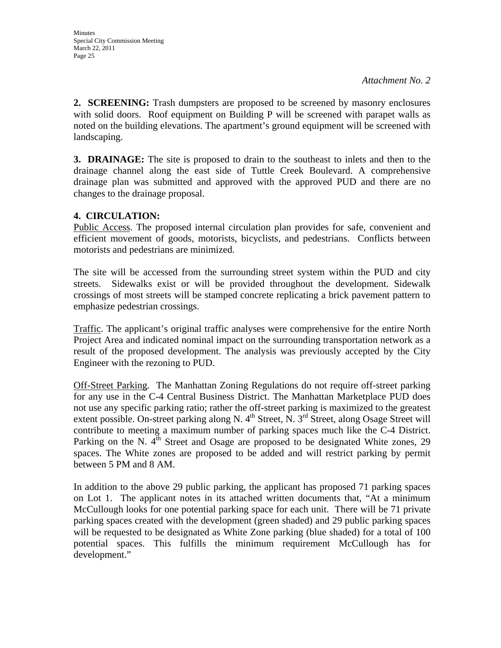**2. SCREENING:** Trash dumpsters are proposed to be screened by masonry enclosures with solid doors. Roof equipment on Building P will be screened with parapet walls as noted on the building elevations. The apartment's ground equipment will be screened with landscaping.

**3. DRAINAGE:** The site is proposed to drain to the southeast to inlets and then to the drainage channel along the east side of Tuttle Creek Boulevard. A comprehensive drainage plan was submitted and approved with the approved PUD and there are no changes to the drainage proposal.

### **4. CIRCULATION:**

Public Access. The proposed internal circulation plan provides for safe, convenient and efficient movement of goods, motorists, bicyclists, and pedestrians. Conflicts between motorists and pedestrians are minimized.

The site will be accessed from the surrounding street system within the PUD and city streets. Sidewalks exist or will be provided throughout the development. Sidewalk crossings of most streets will be stamped concrete replicating a brick pavement pattern to emphasize pedestrian crossings.

Traffic. The applicant's original traffic analyses were comprehensive for the entire North Project Area and indicated nominal impact on the surrounding transportation network as a result of the proposed development. The analysis was previously accepted by the City Engineer with the rezoning to PUD.

Off-Street Parking. The Manhattan Zoning Regulations do not require off-street parking for any use in the C-4 Central Business District. The Manhattan Marketplace PUD does not use any specific parking ratio; rather the off-street parking is maximized to the greatest extent possible. On-street parking along N.  $4<sup>th</sup>$  Street, N.  $3<sup>rd</sup>$  Street, along Osage Street will contribute to meeting a maximum number of parking spaces much like the C-4 District. Parking on the N.  $4<sup>th</sup>$  Street and Osage are proposed to be designated White zones, 29 spaces. The White zones are proposed to be added and will restrict parking by permit between 5 PM and 8 AM.

In addition to the above 29 public parking, the applicant has proposed 71 parking spaces on Lot 1. The applicant notes in its attached written documents that, "At a minimum McCullough looks for one potential parking space for each unit. There will be 71 private parking spaces created with the development (green shaded) and 29 public parking spaces will be requested to be designated as White Zone parking (blue shaded) for a total of 100 potential spaces. This fulfills the minimum requirement McCullough has for development."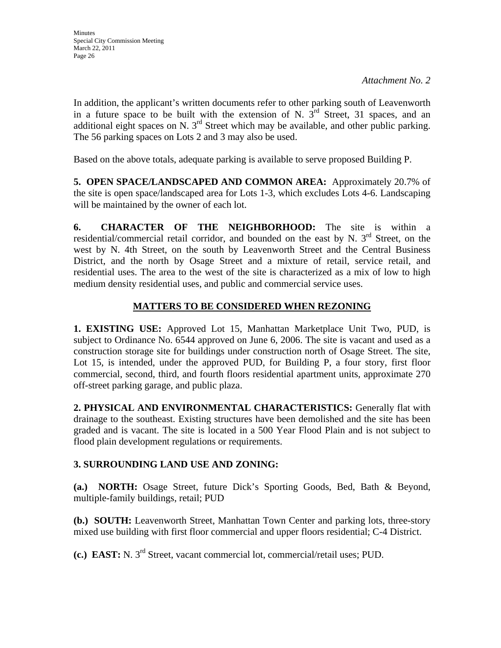In addition, the applicant's written documents refer to other parking south of Leavenworth in a future space to be built with the extension of N.  $3<sup>rd</sup>$  Street, 31 spaces, and an additional eight spaces on N.  $3<sup>rd</sup>$  Street which may be available, and other public parking. The 56 parking spaces on Lots 2 and 3 may also be used.

Based on the above totals, adequate parking is available to serve proposed Building P.

**5. OPEN SPACE/LANDSCAPED AND COMMON AREA:** Approximately 20.7% of the site is open space/landscaped area for Lots 1-3, which excludes Lots 4-6. Landscaping will be maintained by the owner of each lot.

**6. CHARACTER OF THE NEIGHBORHOOD:** The site is within a residential/commercial retail corridor, and bounded on the east by N. 3<sup>rd</sup> Street, on the west by N. 4th Street, on the south by Leavenworth Street and the Central Business District, and the north by Osage Street and a mixture of retail, service retail, and residential uses. The area to the west of the site is characterized as a mix of low to high medium density residential uses, and public and commercial service uses.

### **MATTERS TO BE CONSIDERED WHEN REZONING**

**1. EXISTING USE:** Approved Lot 15, Manhattan Marketplace Unit Two, PUD, is subject to Ordinance No. 6544 approved on June 6, 2006. The site is vacant and used as a construction storage site for buildings under construction north of Osage Street. The site, Lot 15, is intended, under the approved PUD, for Building P, a four story, first floor commercial, second, third, and fourth floors residential apartment units, approximate 270 off-street parking garage, and public plaza.

**2. PHYSICAL AND ENVIRONMENTAL CHARACTERISTICS:** Generally flat with drainage to the southeast. Existing structures have been demolished and the site has been graded and is vacant. The site is located in a 500 Year Flood Plain and is not subject to flood plain development regulations or requirements.

### **3. SURROUNDING LAND USE AND ZONING:**

**(a.) NORTH:** Osage Street, future Dick's Sporting Goods, Bed, Bath & Beyond, multiple-family buildings, retail; PUD

**(b.) SOUTH:** Leavenworth Street, Manhattan Town Center and parking lots, three-story mixed use building with first floor commercial and upper floors residential; C-4 District.

**(c.) EAST:** N. 3rd Street, vacant commercial lot, commercial/retail uses; PUD.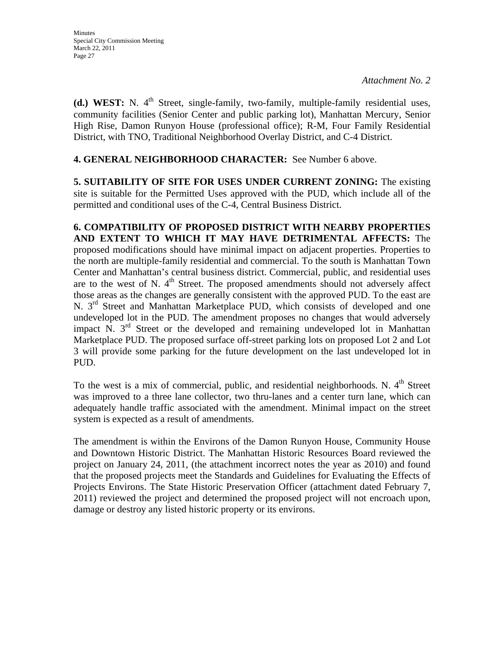**(d.) WEST:** N. 4<sup>th</sup> Street, single-family, two-family, multiple-family residential uses, community facilities (Senior Center and public parking lot), Manhattan Mercury, Senior High Rise, Damon Runyon House (professional office); R-M, Four Family Residential District, with TNO, Traditional Neighborhood Overlay District, and C-4 District.

### **4. GENERAL NEIGHBORHOOD CHARACTER:** See Number 6 above.

**5. SUITABILITY OF SITE FOR USES UNDER CURRENT ZONING:** The existing site is suitable for the Permitted Uses approved with the PUD, which include all of the permitted and conditional uses of the C-4, Central Business District.

**6. COMPATIBILITY OF PROPOSED DISTRICT WITH NEARBY PROPERTIES AND EXTENT TO WHICH IT MAY HAVE DETRIMENTAL AFFECTS:** The proposed modifications should have minimal impact on adjacent properties. Properties to the north are multiple-family residential and commercial. To the south is Manhattan Town Center and Manhattan's central business district. Commercial, public, and residential uses are to the west of N.  $4<sup>th</sup>$  Street. The proposed amendments should not adversely affect those areas as the changes are generally consistent with the approved PUD. To the east are N. 3<sup>rd</sup> Street and Manhattan Marketplace PUD, which consists of developed and one undeveloped lot in the PUD. The amendment proposes no changes that would adversely impact N. 3<sup>rd</sup> Street or the developed and remaining undeveloped lot in Manhattan Marketplace PUD. The proposed surface off-street parking lots on proposed Lot 2 and Lot 3 will provide some parking for the future development on the last undeveloped lot in PUD.

To the west is a mix of commercial, public, and residential neighborhoods. N.  $4<sup>th</sup>$  Street was improved to a three lane collector, two thru-lanes and a center turn lane, which can adequately handle traffic associated with the amendment. Minimal impact on the street system is expected as a result of amendments.

The amendment is within the Environs of the Damon Runyon House, Community House and Downtown Historic District. The Manhattan Historic Resources Board reviewed the project on January 24, 2011, (the attachment incorrect notes the year as 2010) and found that the proposed projects meet the Standards and Guidelines for Evaluating the Effects of Projects Environs. The State Historic Preservation Officer (attachment dated February 7, 2011) reviewed the project and determined the proposed project will not encroach upon, damage or destroy any listed historic property or its environs.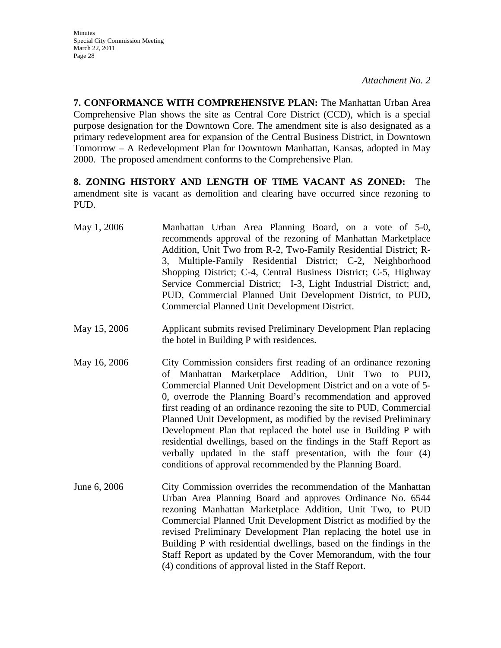**7. CONFORMANCE WITH COMPREHENSIVE PLAN:** The Manhattan Urban Area Comprehensive Plan shows the site as Central Core District (CCD), which is a special purpose designation for the Downtown Core. The amendment site is also designated as a primary redevelopment area for expansion of the Central Business District, in Downtown Tomorrow – A Redevelopment Plan for Downtown Manhattan, Kansas, adopted in May 2000. The proposed amendment conforms to the Comprehensive Plan.

**8. ZONING HISTORY AND LENGTH OF TIME VACANT AS ZONED:** The amendment site is vacant as demolition and clearing have occurred since rezoning to PUD.

- May 1, 2006 Manhattan Urban Area Planning Board, on a vote of 5-0, recommends approval of the rezoning of Manhattan Marketplace Addition, Unit Two from R-2, Two-Family Residential District; R-3, Multiple-Family Residential District; C-2, Neighborhood Shopping District; C-4, Central Business District; C-5, Highway Service Commercial District; I-3, Light Industrial District; and, PUD, Commercial Planned Unit Development District, to PUD, Commercial Planned Unit Development District.
- May 15, 2006 Applicant submits revised Preliminary Development Plan replacing the hotel in Building P with residences.
- May 16, 2006 City Commission considers first reading of an ordinance rezoning of Manhattan Marketplace Addition, Unit Two to PUD, Commercial Planned Unit Development District and on a vote of 5- 0, overrode the Planning Board's recommendation and approved first reading of an ordinance rezoning the site to PUD, Commercial Planned Unit Development, as modified by the revised Preliminary Development Plan that replaced the hotel use in Building P with residential dwellings, based on the findings in the Staff Report as verbally updated in the staff presentation, with the four (4) conditions of approval recommended by the Planning Board.
- June 6, 2006 City Commission overrides the recommendation of the Manhattan Urban Area Planning Board and approves Ordinance No. 6544 rezoning Manhattan Marketplace Addition, Unit Two, to PUD Commercial Planned Unit Development District as modified by the revised Preliminary Development Plan replacing the hotel use in Building P with residential dwellings, based on the findings in the Staff Report as updated by the Cover Memorandum, with the four (4) conditions of approval listed in the Staff Report.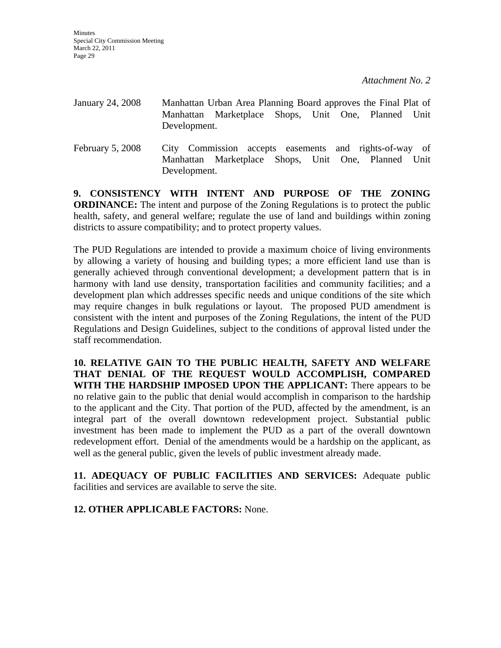| January 24, 2008 | Development. | Manhattan Urban Area Planning Board approves the Final Plat of<br>Manhattan Marketplace Shops, Unit One, Planned Unit |  |  |  |
|------------------|--------------|-----------------------------------------------------------------------------------------------------------------------|--|--|--|
| February 5, 2008 |              | City Commission accepts easements and rights-of-way of<br>Manhattan Marketplace Shops, Unit One, Planned Unit         |  |  |  |

**9. CONSISTENCY WITH INTENT AND PURPOSE OF THE ZONING ORDINANCE:** The intent and purpose of the Zoning Regulations is to protect the public health, safety, and general welfare; regulate the use of land and buildings within zoning districts to assure compatibility; and to protect property values.

Development.

The PUD Regulations are intended to provide a maximum choice of living environments by allowing a variety of housing and building types; a more efficient land use than is generally achieved through conventional development; a development pattern that is in harmony with land use density, transportation facilities and community facilities; and a development plan which addresses specific needs and unique conditions of the site which may require changes in bulk regulations or layout. The proposed PUD amendment is consistent with the intent and purposes of the Zoning Regulations, the intent of the PUD Regulations and Design Guidelines, subject to the conditions of approval listed under the staff recommendation.

**10. RELATIVE GAIN TO THE PUBLIC HEALTH, SAFETY AND WELFARE THAT DENIAL OF THE REQUEST WOULD ACCOMPLISH, COMPARED WITH THE HARDSHIP IMPOSED UPON THE APPLICANT:** There appears to be no relative gain to the public that denial would accomplish in comparison to the hardship to the applicant and the City. That portion of the PUD, affected by the amendment, is an integral part of the overall downtown redevelopment project. Substantial public investment has been made to implement the PUD as a part of the overall downtown redevelopment effort. Denial of the amendments would be a hardship on the applicant, as well as the general public, given the levels of public investment already made.

**11. ADEQUACY OF PUBLIC FACILITIES AND SERVICES:** Adequate public facilities and services are available to serve the site.

**12. OTHER APPLICABLE FACTORS:** None.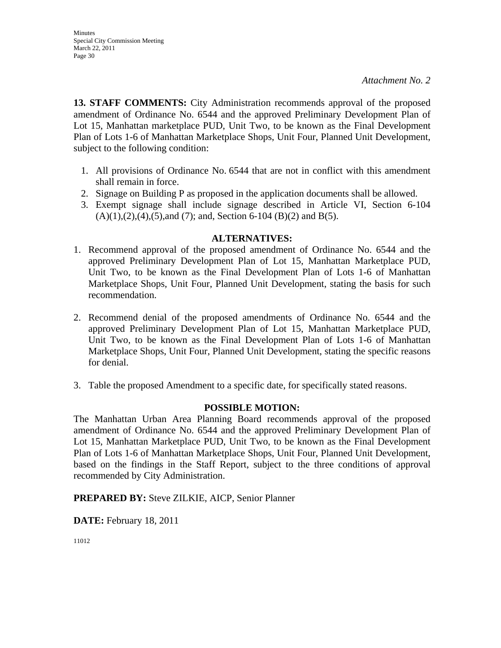**13. STAFF COMMENTS:** City Administration recommends approval of the proposed amendment of Ordinance No. 6544 and the approved Preliminary Development Plan of Lot 15, Manhattan marketplace PUD, Unit Two, to be known as the Final Development Plan of Lots 1-6 of Manhattan Marketplace Shops, Unit Four, Planned Unit Development, subject to the following condition:

- 1. All provisions of Ordinance No. 6544 that are not in conflict with this amendment shall remain in force.
- 2. Signage on Building P as proposed in the application documents shall be allowed.
- 3. Exempt signage shall include signage described in Article VI, Section 6-104  $(A)(1),(2),(4),(5)$ , and  $(7)$ ; and, Section 6-104  $(B)(2)$  and  $B(5)$ .

### **ALTERNATIVES:**

- 1. Recommend approval of the proposed amendment of Ordinance No. 6544 and the approved Preliminary Development Plan of Lot 15, Manhattan Marketplace PUD, Unit Two, to be known as the Final Development Plan of Lots 1-6 of Manhattan Marketplace Shops, Unit Four, Planned Unit Development, stating the basis for such recommendation.
- 2. Recommend denial of the proposed amendments of Ordinance No. 6544 and the approved Preliminary Development Plan of Lot 15, Manhattan Marketplace PUD, Unit Two, to be known as the Final Development Plan of Lots 1-6 of Manhattan Marketplace Shops, Unit Four, Planned Unit Development, stating the specific reasons for denial.
- 3. Table the proposed Amendment to a specific date, for specifically stated reasons.

### **POSSIBLE MOTION:**

The Manhattan Urban Area Planning Board recommends approval of the proposed amendment of Ordinance No. 6544 and the approved Preliminary Development Plan of Lot 15, Manhattan Marketplace PUD, Unit Two, to be known as the Final Development Plan of Lots 1-6 of Manhattan Marketplace Shops, Unit Four, Planned Unit Development, based on the findings in the Staff Report, subject to the three conditions of approval recommended by City Administration.

**PREPARED BY:** Steve ZILKIE, AICP, Senior Planner

**DATE:** February 18, 2011

11012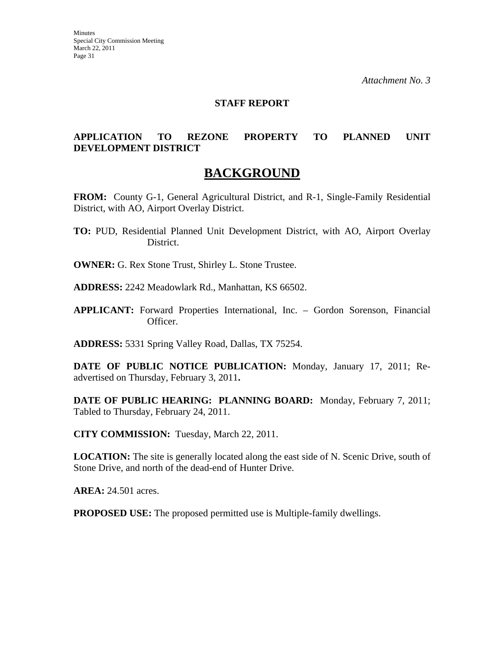### **STAFF REPORT**

### **APPLICATION TO REZONE PROPERTY TO PLANNED UNIT DEVELOPMENT DISTRICT**

### **BACKGROUND**

**FROM:** County G-1, General Agricultural District, and R-1, Single-Family Residential District, with AO, Airport Overlay District.

- **TO:** PUD, Residential Planned Unit Development District, with AO, Airport Overlay District.
- **OWNER:** G. Rex Stone Trust, Shirley L. Stone Trustee.
- **ADDRESS:** 2242 Meadowlark Rd., Manhattan, KS 66502.
- **APPLICANT:** Forward Properties International, Inc. Gordon Sorenson, Financial Officer.

**ADDRESS:** 5331 Spring Valley Road, Dallas, TX 75254.

**DATE OF PUBLIC NOTICE PUBLICATION:** Monday, January 17, 2011; Readvertised on Thursday, February 3, 2011**.** 

**DATE OF PUBLIC HEARING: PLANNING BOARD:** Monday, February 7, 2011; Tabled to Thursday, February 24, 2011.

**CITY COMMISSION:** Tuesday, March 22, 2011.

**LOCATION:** The site is generally located along the east side of N. Scenic Drive, south of Stone Drive, and north of the dead-end of Hunter Drive.

**AREA:** 24.501 acres.

**PROPOSED USE:** The proposed permitted use is Multiple-family dwellings.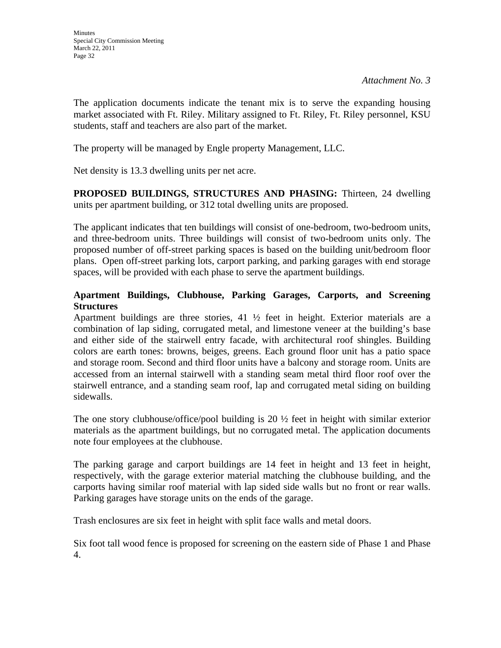The application documents indicate the tenant mix is to serve the expanding housing market associated with Ft. Riley. Military assigned to Ft. Riley, Ft. Riley personnel, KSU students, staff and teachers are also part of the market.

The property will be managed by Engle property Management, LLC.

Net density is 13.3 dwelling units per net acre.

**PROPOSED BUILDINGS, STRUCTURES AND PHASING:** Thirteen, 24 dwelling units per apartment building, or 312 total dwelling units are proposed.

The applicant indicates that ten buildings will consist of one-bedroom, two-bedroom units, and three-bedroom units. Three buildings will consist of two-bedroom units only. The proposed number of off-street parking spaces is based on the building unit/bedroom floor plans. Open off-street parking lots, carport parking, and parking garages with end storage spaces, will be provided with each phase to serve the apartment buildings.

### **Apartment Buildings, Clubhouse, Parking Garages, Carports, and Screening Structures**

Apartment buildings are three stories,  $41 \frac{1}{2}$  feet in height. Exterior materials are a combination of lap siding, corrugated metal, and limestone veneer at the building's base and either side of the stairwell entry facade, with architectural roof shingles. Building colors are earth tones: browns, beiges, greens. Each ground floor unit has a patio space and storage room. Second and third floor units have a balcony and storage room. Units are accessed from an internal stairwell with a standing seam metal third floor roof over the stairwell entrance, and a standing seam roof, lap and corrugated metal siding on building sidewalls.

The one story clubhouse/office/pool building is 20  $\frac{1}{2}$  feet in height with similar exterior materials as the apartment buildings, but no corrugated metal. The application documents note four employees at the clubhouse.

The parking garage and carport buildings are 14 feet in height and 13 feet in height, respectively, with the garage exterior material matching the clubhouse building, and the carports having similar roof material with lap sided side walls but no front or rear walls. Parking garages have storage units on the ends of the garage.

Trash enclosures are six feet in height with split face walls and metal doors.

Six foot tall wood fence is proposed for screening on the eastern side of Phase 1 and Phase 4.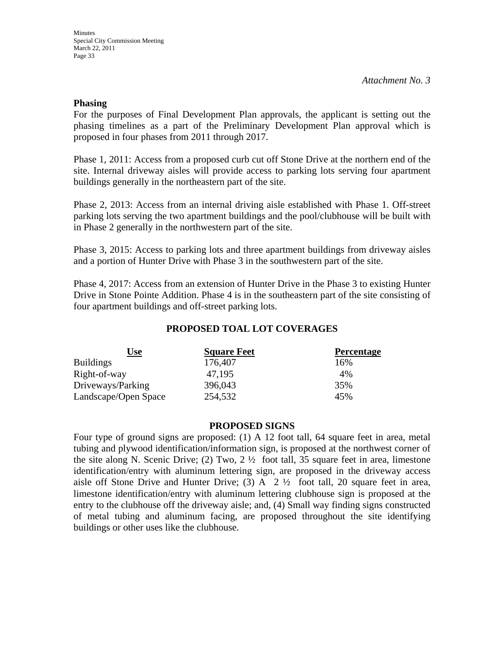### **Phasing**

For the purposes of Final Development Plan approvals, the applicant is setting out the phasing timelines as a part of the Preliminary Development Plan approval which is proposed in four phases from 2011 through 2017.

Phase 1, 2011: Access from a proposed curb cut off Stone Drive at the northern end of the site. Internal driveway aisles will provide access to parking lots serving four apartment buildings generally in the northeastern part of the site.

Phase 2, 2013: Access from an internal driving aisle established with Phase 1. Off-street parking lots serving the two apartment buildings and the pool/clubhouse will be built with in Phase 2 generally in the northwestern part of the site.

Phase 3, 2015: Access to parking lots and three apartment buildings from driveway aisles and a portion of Hunter Drive with Phase 3 in the southwestern part of the site.

Phase 4, 2017: Access from an extension of Hunter Drive in the Phase 3 to existing Hunter Drive in Stone Pointe Addition. Phase 4 is in the southeastern part of the site consisting of four apartment buildings and off-street parking lots.

### **PROPOSED TOAL LOT COVERAGES**

| <u>Use</u>           | <b>Square Feet</b> | <b>Percentage</b> |
|----------------------|--------------------|-------------------|
| <b>Buildings</b>     | 176,407            | 16%               |
| Right-of-way         | 47,195             | 4%                |
| Driveways/Parking    | 396,043            | 35%               |
| Landscape/Open Space | 254,532            | 45%               |

### **PROPOSED SIGNS**

Four type of ground signs are proposed: (1) A 12 foot tall, 64 square feet in area, metal tubing and plywood identification/information sign, is proposed at the northwest corner of the site along N. Scenic Drive; (2) Two,  $2 \frac{1}{2}$  foot tall, 35 square feet in area, limestone identification/entry with aluminum lettering sign, are proposed in the driveway access aisle off Stone Drive and Hunter Drive; (3) A  $2\frac{1}{2}$  foot tall, 20 square feet in area, limestone identification/entry with aluminum lettering clubhouse sign is proposed at the entry to the clubhouse off the driveway aisle; and, (4) Small way finding signs constructed of metal tubing and aluminum facing, are proposed throughout the site identifying buildings or other uses like the clubhouse.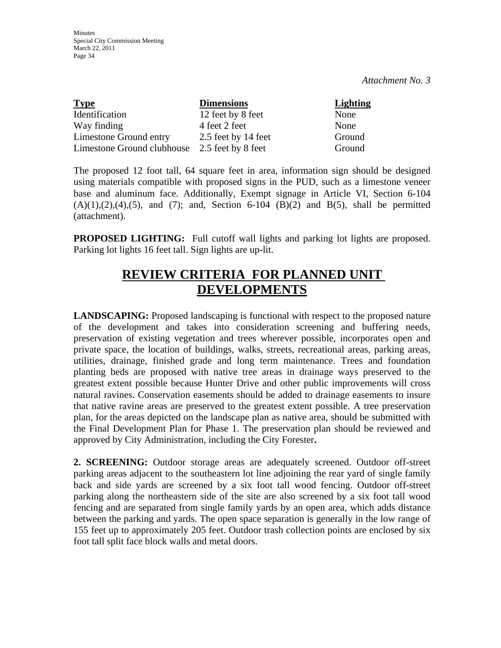| <b>Type</b>                | <b>Dimensions</b>   | <b>Lighting</b> |
|----------------------------|---------------------|-----------------|
| Identification             | 12 feet by 8 feet   | None            |
| Way finding                | 4 feet 2 feet       | None            |
| Limestone Ground entry     | 2.5 feet by 14 feet | Ground          |
| Limestone Ground clubhouse | 2.5 feet by 8 feet  | Ground          |

The proposed 12 foot tall, 64 square feet in area, information sign should be designed using materials compatible with proposed signs in the PUD, such as a limestone veneer base and aluminum face. Additionally, Exempt signage in Article VI, Section 6-104  $(A)(1), (2), (4), (5),$  and  $(7)$ ; and, Section 6-104  $(B)(2)$  and  $B(5)$ , shall be permitted (attachment).

**PROPOSED LIGHTING:** Full cutoff wall lights and parking lot lights are proposed. Parking lot lights 16 feet tall. Sign lights are up-lit.

## **REVIEW CRITERIA FOR PLANNED UNIT DEVELOPMENTS**

**LANDSCAPING:** Proposed landscaping is functional with respect to the proposed nature of the development and takes into consideration screening and buffering needs, preservation of existing vegetation and trees wherever possible, incorporates open and private space, the location of buildings, walks, streets, recreational areas, parking areas, utilities, drainage, finished grade and long term maintenance. Trees and foundation planting beds are proposed with native tree areas in drainage ways preserved to the greatest extent possible because Hunter Drive and other public improvements will cross natural ravines. Conservation easements should be added to drainage easements to insure that native ravine areas are preserved to the greatest extent possible. A tree preservation plan, for the areas depicted on the landscape plan as native area, should be submitted with the Final Development Plan for Phase 1. The preservation plan should be reviewed and approved by City Administration, including the City Forester**.** 

**2. SCREENING:** Outdoor storage areas are adequately screened. Outdoor off-street parking areas adjacent to the southeastern lot line adjoining the rear yard of single family back and side yards are screened by a six foot tall wood fencing. Outdoor off-street parking along the northeastern side of the site are also screened by a six foot tall wood fencing and are separated from single family yards by an open area, which adds distance between the parking and yards. The open space separation is generally in the low range of 155 feet up to approximately 205 feet. Outdoor trash collection points are enclosed by six foot tall split face block walls and metal doors.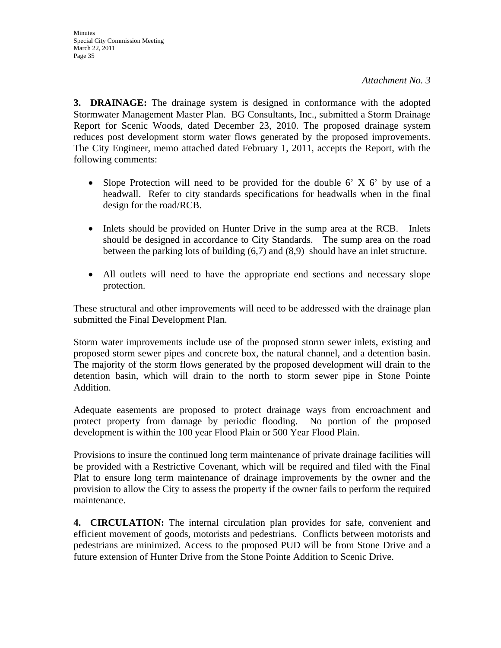**3. DRAINAGE:** The drainage system is designed in conformance with the adopted Stormwater Management Master Plan. BG Consultants, Inc., submitted a Storm Drainage Report for Scenic Woods, dated December 23, 2010. The proposed drainage system reduces post development storm water flows generated by the proposed improvements. The City Engineer, memo attached dated February 1, 2011, accepts the Report, with the following comments:

- Slope Protection will need to be provided for the double 6' X 6' by use of a headwall. Refer to city standards specifications for headwalls when in the final design for the road/RCB.
- Inlets should be provided on Hunter Drive in the sump area at the RCB. Inlets should be designed in accordance to City Standards. The sump area on the road between the parking lots of building (6,7) and (8,9) should have an inlet structure.
- All outlets will need to have the appropriate end sections and necessary slope protection.

These structural and other improvements will need to be addressed with the drainage plan submitted the Final Development Plan.

Storm water improvements include use of the proposed storm sewer inlets, existing and proposed storm sewer pipes and concrete box, the natural channel, and a detention basin. The majority of the storm flows generated by the proposed development will drain to the detention basin, which will drain to the north to storm sewer pipe in Stone Pointe Addition.

Adequate easements are proposed to protect drainage ways from encroachment and protect property from damage by periodic flooding. No portion of the proposed development is within the 100 year Flood Plain or 500 Year Flood Plain.

Provisions to insure the continued long term maintenance of private drainage facilities will be provided with a Restrictive Covenant, which will be required and filed with the Final Plat to ensure long term maintenance of drainage improvements by the owner and the provision to allow the City to assess the property if the owner fails to perform the required maintenance.

**4. CIRCULATION:** The internal circulation plan provides for safe, convenient and efficient movement of goods, motorists and pedestrians. Conflicts between motorists and pedestrians are minimized. Access to the proposed PUD will be from Stone Drive and a future extension of Hunter Drive from the Stone Pointe Addition to Scenic Drive.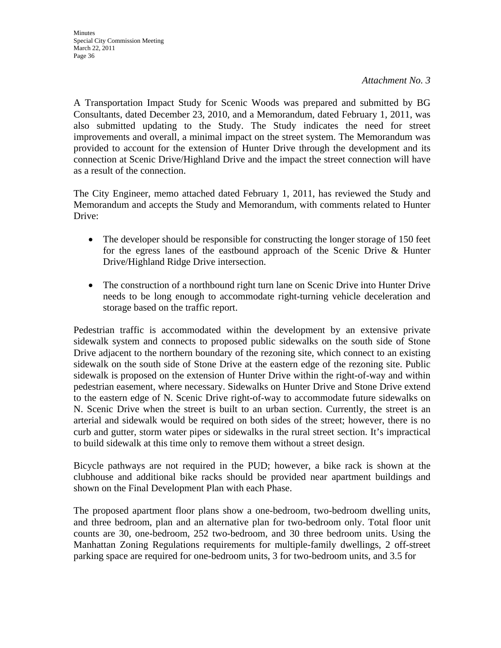A Transportation Impact Study for Scenic Woods was prepared and submitted by BG Consultants, dated December 23, 2010, and a Memorandum, dated February 1, 2011, was also submitted updating to the Study. The Study indicates the need for street improvements and overall, a minimal impact on the street system. The Memorandum was provided to account for the extension of Hunter Drive through the development and its connection at Scenic Drive/Highland Drive and the impact the street connection will have as a result of the connection.

The City Engineer, memo attached dated February 1, 2011, has reviewed the Study and Memorandum and accepts the Study and Memorandum, with comments related to Hunter Drive:

- The developer should be responsible for constructing the longer storage of 150 feet for the egress lanes of the eastbound approach of the Scenic Drive & Hunter Drive/Highland Ridge Drive intersection.
- The construction of a northbound right turn lane on Scenic Drive into Hunter Drive needs to be long enough to accommodate right-turning vehicle deceleration and storage based on the traffic report.

Pedestrian traffic is accommodated within the development by an extensive private sidewalk system and connects to proposed public sidewalks on the south side of Stone Drive adjacent to the northern boundary of the rezoning site, which connect to an existing sidewalk on the south side of Stone Drive at the eastern edge of the rezoning site. Public sidewalk is proposed on the extension of Hunter Drive within the right-of-way and within pedestrian easement, where necessary. Sidewalks on Hunter Drive and Stone Drive extend to the eastern edge of N. Scenic Drive right-of-way to accommodate future sidewalks on N. Scenic Drive when the street is built to an urban section. Currently, the street is an arterial and sidewalk would be required on both sides of the street; however, there is no curb and gutter, storm water pipes or sidewalks in the rural street section. It's impractical to build sidewalk at this time only to remove them without a street design.

Bicycle pathways are not required in the PUD; however, a bike rack is shown at the clubhouse and additional bike racks should be provided near apartment buildings and shown on the Final Development Plan with each Phase.

The proposed apartment floor plans show a one-bedroom, two-bedroom dwelling units, and three bedroom, plan and an alternative plan for two-bedroom only. Total floor unit counts are 30, one-bedroom, 252 two-bedroom, and 30 three bedroom units. Using the Manhattan Zoning Regulations requirements for multiple-family dwellings, 2 off-street parking space are required for one-bedroom units, 3 for two-bedroom units, and 3.5 for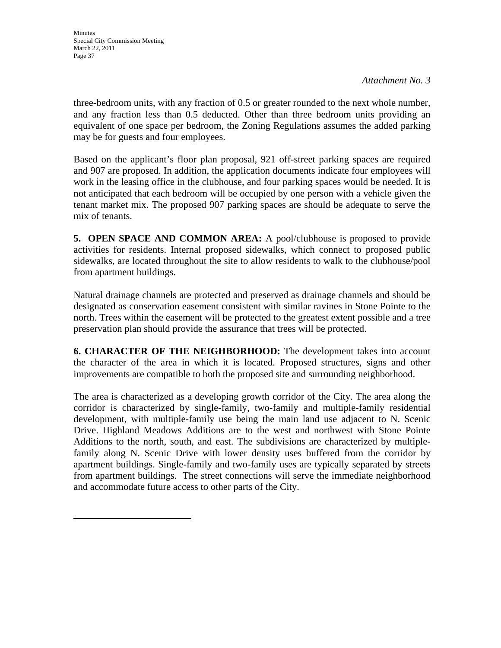three-bedroom units, with any fraction of 0.5 or greater rounded to the next whole number, and any fraction less than 0.5 deducted. Other than three bedroom units providing an equivalent of one space per bedroom, the Zoning Regulations assumes the added parking may be for guests and four employees.

Based on the applicant's floor plan proposal, 921 off-street parking spaces are required and 907 are proposed. In addition, the application documents indicate four employees will work in the leasing office in the clubhouse, and four parking spaces would be needed. It is not anticipated that each bedroom will be occupied by one person with a vehicle given the tenant market mix. The proposed 907 parking spaces are should be adequate to serve the mix of tenants.

**5. OPEN SPACE AND COMMON AREA:** A pool/clubhouse is proposed to provide activities for residents. Internal proposed sidewalks, which connect to proposed public sidewalks, are located throughout the site to allow residents to walk to the clubhouse/pool from apartment buildings.

Natural drainage channels are protected and preserved as drainage channels and should be designated as conservation easement consistent with similar ravines in Stone Pointe to the north. Trees within the easement will be protected to the greatest extent possible and a tree preservation plan should provide the assurance that trees will be protected.

**6. CHARACTER OF THE NEIGHBORHOOD:** The development takes into account the character of the area in which it is located. Proposed structures, signs and other improvements are compatible to both the proposed site and surrounding neighborhood.

The area is characterized as a developing growth corridor of the City. The area along the corridor is characterized by single-family, two-family and multiple-family residential development, with multiple-family use being the main land use adjacent to N. Scenic Drive. Highland Meadows Additions are to the west and northwest with Stone Pointe Additions to the north, south, and east. The subdivisions are characterized by multiplefamily along N. Scenic Drive with lower density uses buffered from the corridor by apartment buildings. Single-family and two-family uses are typically separated by streets from apartment buildings. The street connections will serve the immediate neighborhood and accommodate future access to other parts of the City.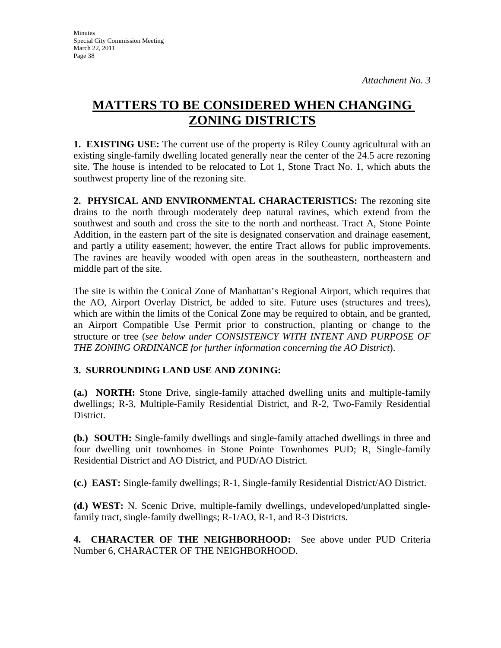# **MATTERS TO BE CONSIDERED WHEN CHANGING ZONING DISTRICTS**

**1. EXISTING USE:** The current use of the property is Riley County agricultural with an existing single-family dwelling located generally near the center of the 24.5 acre rezoning site. The house is intended to be relocated to Lot 1, Stone Tract No. 1, which abuts the southwest property line of the rezoning site.

**2. PHYSICAL AND ENVIRONMENTAL CHARACTERISTICS:** The rezoning site drains to the north through moderately deep natural ravines, which extend from the southwest and south and cross the site to the north and northeast. Tract A, Stone Pointe Addition, in the eastern part of the site is designated conservation and drainage easement, and partly a utility easement; however, the entire Tract allows for public improvements. The ravines are heavily wooded with open areas in the southeastern, northeastern and middle part of the site.

The site is within the Conical Zone of Manhattan's Regional Airport, which requires that the AO, Airport Overlay District, be added to site. Future uses (structures and trees), which are within the limits of the Conical Zone may be required to obtain, and be granted, an Airport Compatible Use Permit prior to construction, planting or change to the structure or tree (*see below under CONSISTENCY WITH INTENT AND PURPOSE OF THE ZONING ORDINANCE for further information concerning the AO District*).

### **3. SURROUNDING LAND USE AND ZONING:**

**(a.) NORTH:** Stone Drive, single-family attached dwelling units and multiple-family dwellings; R-3, Multiple-Family Residential District, and R-2, Two-Family Residential District.

**(b.) SOUTH:** Single-family dwellings and single-family attached dwellings in three and four dwelling unit townhomes in Stone Pointe Townhomes PUD; R, Single-family Residential District and AO District, and PUD/AO District.

**(c.) EAST:** Single-family dwellings; R-1, Single-family Residential District/AO District.

**(d.) WEST:** N. Scenic Drive, multiple-family dwellings, undeveloped/unplatted singlefamily tract, single-family dwellings; R-1/AO, R-1, and R-3 Districts.

**4. CHARACTER OF THE NEIGHBORHOOD:** See above under PUD Criteria Number 6, CHARACTER OF THE NEIGHBORHOOD.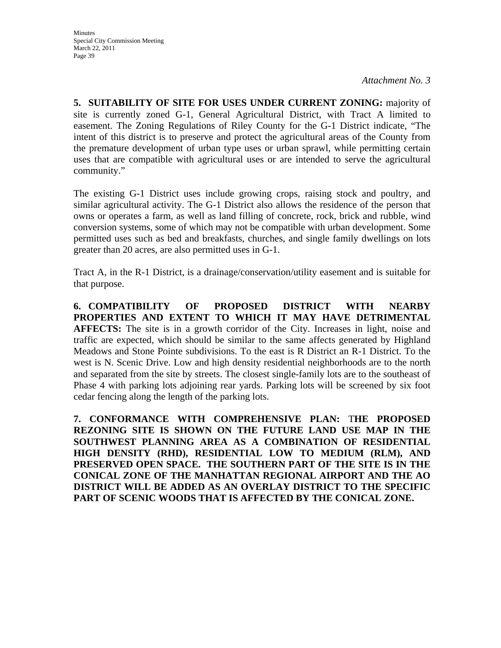**5. SUITABILITY OF SITE FOR USES UNDER CURRENT ZONING:** majority of site is currently zoned G-1, General Agricultural District, with Tract A limited to easement. The Zoning Regulations of Riley County for the G-1 District indicate, "The intent of this district is to preserve and protect the agricultural areas of the County from the premature development of urban type uses or urban sprawl, while permitting certain uses that are compatible with agricultural uses or are intended to serve the agricultural community."

The existing G-1 District uses include growing crops, raising stock and poultry, and similar agricultural activity. The G-1 District also allows the residence of the person that owns or operates a farm, as well as land filling of concrete, rock, brick and rubble, wind conversion systems, some of which may not be compatible with urban development. Some permitted uses such as bed and breakfasts, churches, and single family dwellings on lots greater than 20 acres, are also permitted uses in G-1.

Tract A, in the R-1 District, is a drainage/conservation/utility easement and is suitable for that purpose.

**6. COMPATIBILITY OF PROPOSED DISTRICT WITH NEARBY PROPERTIES AND EXTENT TO WHICH IT MAY HAVE DETRIMENTAL AFFECTS:** The site is in a growth corridor of the City. Increases in light, noise and traffic are expected, which should be similar to the same affects generated by Highland Meadows and Stone Pointe subdivisions. To the east is R District an R-1 District. To the west is N. Scenic Drive. Low and high density residential neighborhoods are to the north and separated from the site by streets. The closest single-family lots are to the southeast of Phase 4 with parking lots adjoining rear yards. Parking lots will be screened by six foot cedar fencing along the length of the parking lots.

**7. CONFORMANCE WITH COMPREHENSIVE PLAN:** T**HE PROPOSED REZONING SITE IS SHOWN ON THE FUTURE LAND USE MAP IN THE SOUTHWEST PLANNING AREA AS A COMBINATION OF RESIDENTIAL HIGH DENSITY (RHD), RESIDENTIAL LOW TO MEDIUM (RLM), AND PRESERVED OPEN SPACE. THE SOUTHERN PART OF THE SITE IS IN THE CONICAL ZONE OF THE MANHATTAN REGIONAL AIRPORT AND THE AO DISTRICT WILL BE ADDED AS AN OVERLAY DISTRICT TO THE SPECIFIC PART OF SCENIC WOODS THAT IS AFFECTED BY THE CONICAL ZONE.**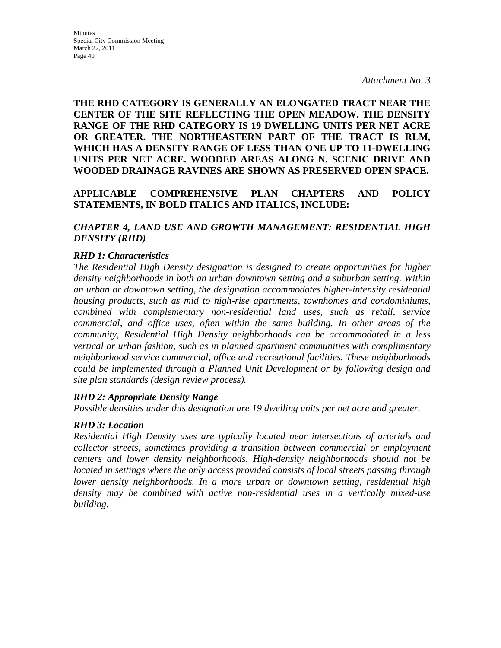**THE RHD CATEGORY IS GENERALLY AN ELONGATED TRACT NEAR THE CENTER OF THE SITE REFLECTING THE OPEN MEADOW. THE DENSITY RANGE OF THE RHD CATEGORY IS 19 DWELLING UNITS PER NET ACRE OR GREATER. THE NORTHEASTERN PART OF THE TRACT IS RLM, WHICH HAS A DENSITY RANGE OF LESS THAN ONE UP TO 11-DWELLING UNITS PER NET ACRE. WOODED AREAS ALONG N. SCENIC DRIVE AND WOODED DRAINAGE RAVINES ARE SHOWN AS PRESERVED OPEN SPACE.** 

### **APPLICABLE COMPREHENSIVE PLAN CHAPTERS AND POLICY STATEMENTS, IN BOLD ITALICS AND ITALICS, INCLUDE:**

### *CHAPTER 4, LAND USE AND GROWTH MANAGEMENT: RESIDENTIAL HIGH DENSITY (RHD)*

### *RHD 1: Characteristics*

*The Residential High Density designation is designed to create opportunities for higher density neighborhoods in both an urban downtown setting and a suburban setting. Within an urban or downtown setting, the designation accommodates higher-intensity residential housing products, such as mid to high-rise apartments, townhomes and condominiums, combined with complementary non-residential land uses, such as retail, service commercial, and office uses, often within the same building. In other areas of the community, Residential High Density neighborhoods can be accommodated in a less vertical or urban fashion, such as in planned apartment communities with complimentary neighborhood service commercial, office and recreational facilities. These neighborhoods could be implemented through a Planned Unit Development or by following design and site plan standards (design review process).* 

### *RHD 2: Appropriate Density Range*

*Possible densities under this designation are 19 dwelling units per net acre and greater.* 

### *RHD 3: Location*

*Residential High Density uses are typically located near intersections of arterials and collector streets, sometimes providing a transition between commercial or employment centers and lower density neighborhoods. High-density neighborhoods should not be located in settings where the only access provided consists of local streets passing through lower density neighborhoods. In a more urban or downtown setting, residential high density may be combined with active non-residential uses in a vertically mixed-use building.*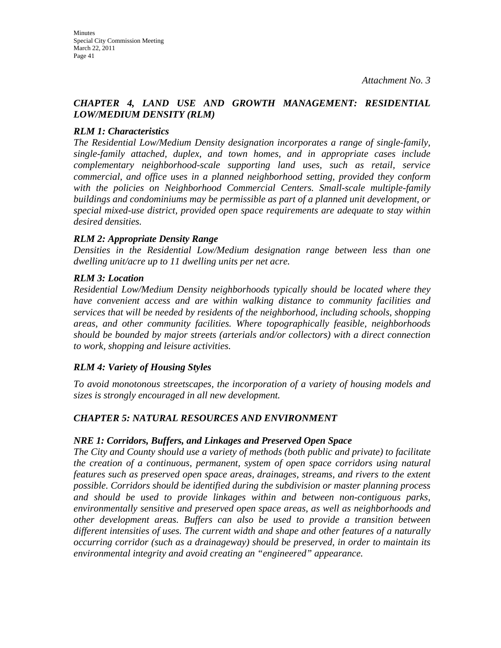### *CHAPTER 4, LAND USE AND GROWTH MANAGEMENT: RESIDENTIAL LOW/MEDIUM DENSITY (RLM)*

### *RLM 1: Characteristics*

*The Residential Low/Medium Density designation incorporates a range of single-family, single-family attached, duplex, and town homes, and in appropriate cases include complementary neighborhood-scale supporting land uses, such as retail, service commercial, and office uses in a planned neighborhood setting, provided they conform*  with the policies on Neighborhood Commercial Centers. Small-scale multiple-family *buildings and condominiums may be permissible as part of a planned unit development, or special mixed-use district, provided open space requirements are adequate to stay within desired densities.* 

### *RLM 2: Appropriate Density Range*

*Densities in the Residential Low/Medium designation range between less than one dwelling unit/acre up to 11 dwelling units per net acre.* 

### *RLM 3: Location*

*Residential Low/Medium Density neighborhoods typically should be located where they have convenient access and are within walking distance to community facilities and services that will be needed by residents of the neighborhood, including schools, shopping areas, and other community facilities. Where topographically feasible, neighborhoods should be bounded by major streets (arterials and/or collectors) with a direct connection to work, shopping and leisure activities.* 

### *RLM 4: Variety of Housing Styles*

*To avoid monotonous streetscapes, the incorporation of a variety of housing models and sizes is strongly encouraged in all new development.* 

### *CHAPTER 5: NATURAL RESOURCES AND ENVIRONMENT*

### *NRE 1: Corridors, Buffers, and Linkages and Preserved Open Space*

*The City and County should use a variety of methods (both public and private) to facilitate the creation of a continuous, permanent, system of open space corridors using natural features such as preserved open space areas, drainages, streams, and rivers to the extent possible. Corridors should be identified during the subdivision or master planning process and should be used to provide linkages within and between non-contiguous parks, environmentally sensitive and preserved open space areas, as well as neighborhoods and other development areas. Buffers can also be used to provide a transition between different intensities of uses. The current width and shape and other features of a naturally occurring corridor (such as a drainageway) should be preserved, in order to maintain its environmental integrity and avoid creating an "engineered" appearance.*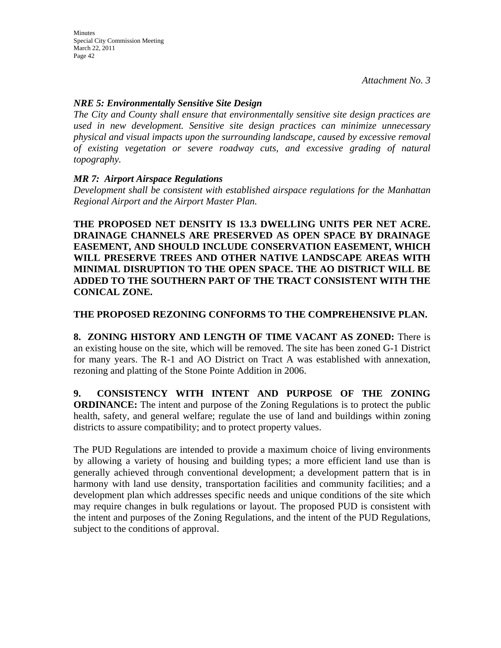### *NRE 5: Environmentally Sensitive Site Design*

*The City and County shall ensure that environmentally sensitive site design practices are used in new development. Sensitive site design practices can minimize unnecessary physical and visual impacts upon the surrounding landscape, caused by excessive removal of existing vegetation or severe roadway cuts, and excessive grading of natural topography.* 

### *MR 7: Airport Airspace Regulations*

*Development shall be consistent with established airspace regulations for the Manhattan Regional Airport and the Airport Master Plan.* 

**THE PROPOSED NET DENSITY IS 13.3 DWELLING UNITS PER NET ACRE. DRAINAGE CHANNELS ARE PRESERVED AS OPEN SPACE BY DRAINAGE EASEMENT, AND SHOULD INCLUDE CONSERVATION EASEMENT, WHICH WILL PRESERVE TREES AND OTHER NATIVE LANDSCAPE AREAS WITH MINIMAL DISRUPTION TO THE OPEN SPACE. THE AO DISTRICT WILL BE ADDED TO THE SOUTHERN PART OF THE TRACT CONSISTENT WITH THE CONICAL ZONE.**

### **THE PROPOSED REZONING CONFORMS TO THE COMPREHENSIVE PLAN.**

**8. ZONING HISTORY AND LENGTH OF TIME VACANT AS ZONED:** There is an existing house on the site, which will be removed. The site has been zoned G-1 District for many years. The R-1 and AO District on Tract A was established with annexation, rezoning and platting of the Stone Pointe Addition in 2006.

**9. CONSISTENCY WITH INTENT AND PURPOSE OF THE ZONING ORDINANCE:** The intent and purpose of the Zoning Regulations is to protect the public health, safety, and general welfare; regulate the use of land and buildings within zoning districts to assure compatibility; and to protect property values.

The PUD Regulations are intended to provide a maximum choice of living environments by allowing a variety of housing and building types; a more efficient land use than is generally achieved through conventional development; a development pattern that is in harmony with land use density, transportation facilities and community facilities; and a development plan which addresses specific needs and unique conditions of the site which may require changes in bulk regulations or layout. The proposed PUD is consistent with the intent and purposes of the Zoning Regulations, and the intent of the PUD Regulations, subject to the conditions of approval.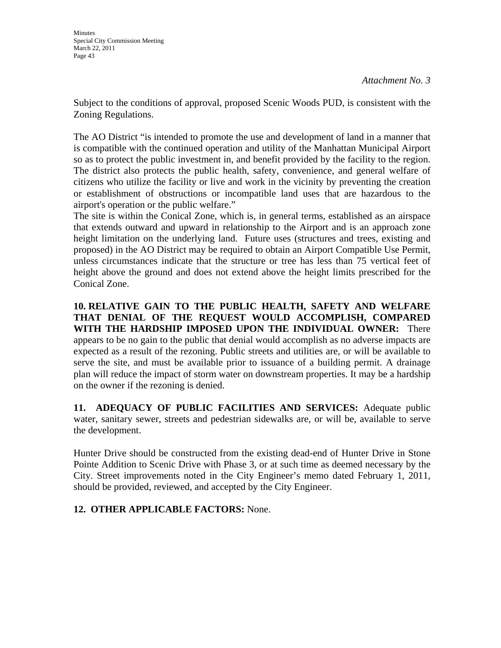Subject to the conditions of approval, proposed Scenic Woods PUD, is consistent with the Zoning Regulations.

The AO District "is intended to promote the use and development of land in a manner that is compatible with the continued operation and utility of the Manhattan Municipal Airport so as to protect the public investment in, and benefit provided by the facility to the region. The district also protects the public health, safety, convenience, and general welfare of citizens who utilize the facility or live and work in the vicinity by preventing the creation or establishment of obstructions or incompatible land uses that are hazardous to the airport's operation or the public welfare."

The site is within the Conical Zone, which is, in general terms, established as an airspace that extends outward and upward in relationship to the Airport and is an approach zone height limitation on the underlying land. Future uses (structures and trees, existing and proposed) in the AO District may be required to obtain an Airport Compatible Use Permit, unless circumstances indicate that the structure or tree has less than 75 vertical feet of height above the ground and does not extend above the height limits prescribed for the Conical Zone.

**10. RELATIVE GAIN TO THE PUBLIC HEALTH, SAFETY AND WELFARE THAT DENIAL OF THE REQUEST WOULD ACCOMPLISH, COMPARED WITH THE HARDSHIP IMPOSED UPON THE INDIVIDUAL OWNER:** There appears to be no gain to the public that denial would accomplish as no adverse impacts are expected as a result of the rezoning. Public streets and utilities are, or will be available to serve the site, and must be available prior to issuance of a building permit. A drainage plan will reduce the impact of storm water on downstream properties. It may be a hardship on the owner if the rezoning is denied.

**11. ADEQUACY OF PUBLIC FACILITIES AND SERVICES:** Adequate public water, sanitary sewer, streets and pedestrian sidewalks are, or will be, available to serve the development.

Hunter Drive should be constructed from the existing dead-end of Hunter Drive in Stone Pointe Addition to Scenic Drive with Phase 3, or at such time as deemed necessary by the City. Street improvements noted in the City Engineer's memo dated February 1, 2011, should be provided, reviewed, and accepted by the City Engineer.

### **12. OTHER APPLICABLE FACTORS:** None.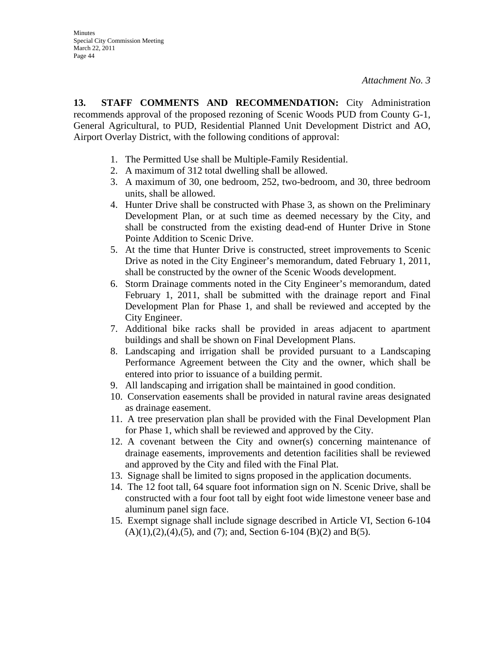**13. STAFF COMMENTS AND RECOMMENDATION:** City Administration recommends approval of the proposed rezoning of Scenic Woods PUD from County G-1, General Agricultural, to PUD, Residential Planned Unit Development District and AO, Airport Overlay District, with the following conditions of approval:

- 1. The Permitted Use shall be Multiple-Family Residential.
- 2. A maximum of 312 total dwelling shall be allowed.
- 3. A maximum of 30, one bedroom, 252, two-bedroom, and 30, three bedroom units, shall be allowed.
- 4. Hunter Drive shall be constructed with Phase 3, as shown on the Preliminary Development Plan, or at such time as deemed necessary by the City, and shall be constructed from the existing dead-end of Hunter Drive in Stone Pointe Addition to Scenic Drive.
- 5. At the time that Hunter Drive is constructed, street improvements to Scenic Drive as noted in the City Engineer's memorandum, dated February 1, 2011, shall be constructed by the owner of the Scenic Woods development.
- 6. Storm Drainage comments noted in the City Engineer's memorandum, dated February 1, 2011, shall be submitted with the drainage report and Final Development Plan for Phase 1, and shall be reviewed and accepted by the City Engineer.
- 7. Additional bike racks shall be provided in areas adjacent to apartment buildings and shall be shown on Final Development Plans.
- 8. Landscaping and irrigation shall be provided pursuant to a Landscaping Performance Agreement between the City and the owner, which shall be entered into prior to issuance of a building permit.
- 9. All landscaping and irrigation shall be maintained in good condition.
- 10. Conservation easements shall be provided in natural ravine areas designated as drainage easement.
- 11. A tree preservation plan shall be provided with the Final Development Plan for Phase 1, which shall be reviewed and approved by the City.
- 12. A covenant between the City and owner(s) concerning maintenance of drainage easements, improvements and detention facilities shall be reviewed and approved by the City and filed with the Final Plat.
- 13. Signage shall be limited to signs proposed in the application documents.
- 14. The 12 foot tall, 64 square foot information sign on N. Scenic Drive, shall be constructed with a four foot tall by eight foot wide limestone veneer base and aluminum panel sign face.
- 15. Exempt signage shall include signage described in Article VI, Section 6-104  $(A)(1),(2),(4),(5)$ , and  $(7)$ ; and, Section 6-104  $(B)(2)$  and  $B(5)$ .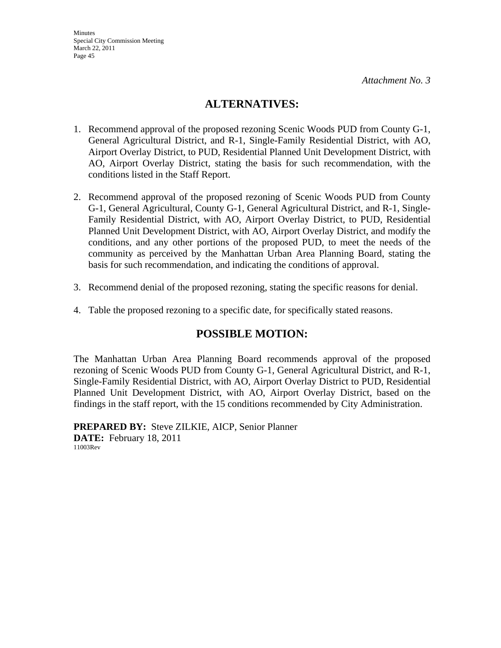### **ALTERNATIVES:**

- 1. Recommend approval of the proposed rezoning Scenic Woods PUD from County G-1, General Agricultural District, and R-1, Single-Family Residential District, with AO, Airport Overlay District, to PUD, Residential Planned Unit Development District, with AO, Airport Overlay District, stating the basis for such recommendation, with the conditions listed in the Staff Report.
- 2. Recommend approval of the proposed rezoning of Scenic Woods PUD from County G-1, General Agricultural, County G-1, General Agricultural District, and R-1, Single-Family Residential District, with AO, Airport Overlay District, to PUD, Residential Planned Unit Development District, with AO, Airport Overlay District, and modify the conditions, and any other portions of the proposed PUD, to meet the needs of the community as perceived by the Manhattan Urban Area Planning Board, stating the basis for such recommendation, and indicating the conditions of approval.
- 3. Recommend denial of the proposed rezoning, stating the specific reasons for denial.
- 4. Table the proposed rezoning to a specific date, for specifically stated reasons.

### **POSSIBLE MOTION:**

The Manhattan Urban Area Planning Board recommends approval of the proposed rezoning of Scenic Woods PUD from County G-1, General Agricultural District, and R-1, Single-Family Residential District, with AO, Airport Overlay District to PUD, Residential Planned Unit Development District, with AO, Airport Overlay District, based on the findings in the staff report, with the 15 conditions recommended by City Administration.

**PREPARED BY:** Steve ZILKIE, AICP, Senior Planner **DATE:** February 18, 2011 11003Rev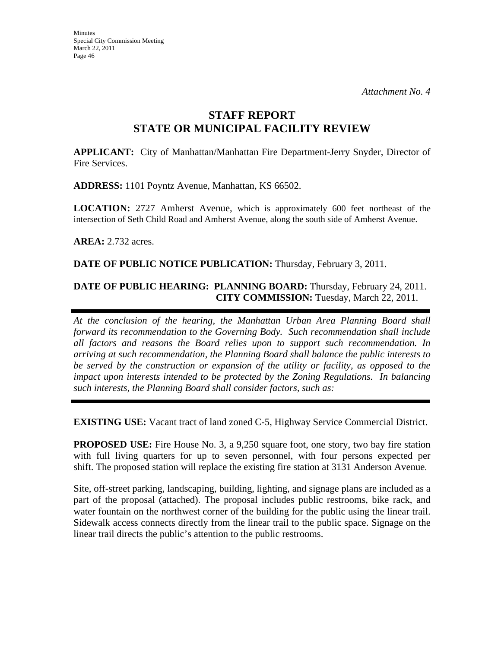### **STAFF REPORT STATE OR MUNICIPAL FACILITY REVIEW**

**APPLICANT:** City of Manhattan/Manhattan Fire Department-Jerry Snyder, Director of Fire Services.

**ADDRESS:** 1101 Poyntz Avenue, Manhattan, KS 66502.

**LOCATION:** 2727 Amherst Avenue, which is approximately 600 feet northeast of the intersection of Seth Child Road and Amherst Avenue, along the south side of Amherst Avenue.

**AREA:** 2.732 acres.

**DATE OF PUBLIC NOTICE PUBLICATION:** Thursday, February 3, 2011.

### **DATE OF PUBLIC HEARING: PLANNING BOARD:** Thursday, February 24, 2011. **CITY COMMISSION:** Tuesday, March 22, 2011.

*At the conclusion of the hearing, the Manhattan Urban Area Planning Board shall forward its recommendation to the Governing Body. Such recommendation shall include all factors and reasons the Board relies upon to support such recommendation. In arriving at such recommendation, the Planning Board shall balance the public interests to be served by the construction or expansion of the utility or facility, as opposed to the impact upon interests intended to be protected by the Zoning Regulations. In balancing such interests, the Planning Board shall consider factors, such as:* 

**EXISTING USE:** Vacant tract of land zoned C-5, Highway Service Commercial District.

**PROPOSED USE:** Fire House No. 3, a 9,250 square foot, one story, two bay fire station with full living quarters for up to seven personnel, with four persons expected per shift. The proposed station will replace the existing fire station at 3131 Anderson Avenue.

Site, off-street parking, landscaping, building, lighting, and signage plans are included as a part of the proposal (attached). The proposal includes public restrooms, bike rack, and water fountain on the northwest corner of the building for the public using the linear trail. Sidewalk access connects directly from the linear trail to the public space. Signage on the linear trail directs the public's attention to the public restrooms.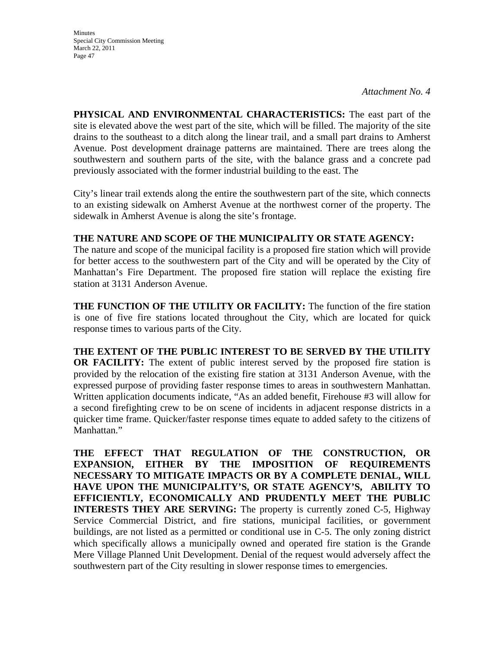**Minutes** Special City Commission Meeting March 22, 2011 Page 47

**PHYSICAL AND ENVIRONMENTAL CHARACTERISTICS:** The east part of the site is elevated above the west part of the site, which will be filled. The majority of the site drains to the southeast to a ditch along the linear trail, and a small part drains to Amherst Avenue. Post development drainage patterns are maintained. There are trees along the southwestern and southern parts of the site, with the balance grass and a concrete pad previously associated with the former industrial building to the east. The

City's linear trail extends along the entire the southwestern part of the site, which connects to an existing sidewalk on Amherst Avenue at the northwest corner of the property. The sidewalk in Amherst Avenue is along the site's frontage.

### **THE NATURE AND SCOPE OF THE MUNICIPALITY OR STATE AGENCY:**

The nature and scope of the municipal facility is a proposed fire station which will provide for better access to the southwestern part of the City and will be operated by the City of Manhattan's Fire Department. The proposed fire station will replace the existing fire station at 3131 Anderson Avenue.

**THE FUNCTION OF THE UTILITY OR FACILITY:** The function of the fire station is one of five fire stations located throughout the City, which are located for quick response times to various parts of the City.

**THE EXTENT OF THE PUBLIC INTEREST TO BE SERVED BY THE UTILITY OR FACILITY:** The extent of public interest served by the proposed fire station is provided by the relocation of the existing fire station at 3131 Anderson Avenue, with the expressed purpose of providing faster response times to areas in southwestern Manhattan. Written application documents indicate, "As an added benefit, Firehouse #3 will allow for a second firefighting crew to be on scene of incidents in adjacent response districts in a quicker time frame. Quicker/faster response times equate to added safety to the citizens of Manhattan."

**THE EFFECT THAT REGULATION OF THE CONSTRUCTION, OR EXPANSION, EITHER BY THE IMPOSITION OF REQUIREMENTS NECESSARY TO MITIGATE IMPACTS OR BY A COMPLETE DENIAL, WILL HAVE UPON THE MUNICIPALITY'S, OR STATE AGENCY'S, ABILITY TO EFFICIENTLY, ECONOMICALLY AND PRUDENTLY MEET THE PUBLIC INTERESTS THEY ARE SERVING:** The property is currently zoned C-5, Highway Service Commercial District, and fire stations, municipal facilities, or government buildings, are not listed as a permitted or conditional use in C-5. The only zoning district which specifically allows a municipally owned and operated fire station is the Grande Mere Village Planned Unit Development. Denial of the request would adversely affect the southwestern part of the City resulting in slower response times to emergencies.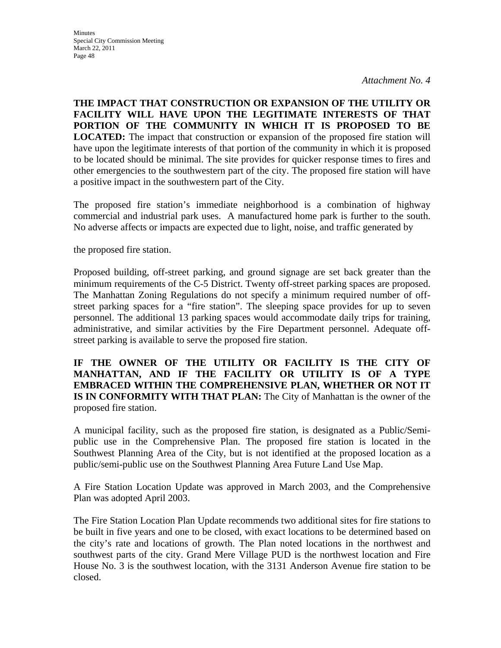**THE IMPACT THAT CONSTRUCTION OR EXPANSION OF THE UTILITY OR FACILITY WILL HAVE UPON THE LEGITIMATE INTERESTS OF THAT PORTION OF THE COMMUNITY IN WHICH IT IS PROPOSED TO BE LOCATED:** The impact that construction or expansion of the proposed fire station will have upon the legitimate interests of that portion of the community in which it is proposed to be located should be minimal. The site provides for quicker response times to fires and other emergencies to the southwestern part of the city. The proposed fire station will have a positive impact in the southwestern part of the City.

The proposed fire station's immediate neighborhood is a combination of highway commercial and industrial park uses. A manufactured home park is further to the south. No adverse affects or impacts are expected due to light, noise, and traffic generated by

the proposed fire station.

Proposed building, off-street parking, and ground signage are set back greater than the minimum requirements of the C-5 District. Twenty off-street parking spaces are proposed. The Manhattan Zoning Regulations do not specify a minimum required number of offstreet parking spaces for a "fire station". The sleeping space provides for up to seven personnel. The additional 13 parking spaces would accommodate daily trips for training, administrative, and similar activities by the Fire Department personnel. Adequate offstreet parking is available to serve the proposed fire station.

**IF THE OWNER OF THE UTILITY OR FACILITY IS THE CITY OF MANHATTAN, AND IF THE FACILITY OR UTILITY IS OF A TYPE EMBRACED WITHIN THE COMPREHENSIVE PLAN, WHETHER OR NOT IT IS IN CONFORMITY WITH THAT PLAN:** The City of Manhattan is the owner of the proposed fire station.

A municipal facility, such as the proposed fire station, is designated as a Public/Semipublic use in the Comprehensive Plan. The proposed fire station is located in the Southwest Planning Area of the City, but is not identified at the proposed location as a public/semi-public use on the Southwest Planning Area Future Land Use Map.

A Fire Station Location Update was approved in March 2003, and the Comprehensive Plan was adopted April 2003.

The Fire Station Location Plan Update recommends two additional sites for fire stations to be built in five years and one to be closed, with exact locations to be determined based on the city's rate and locations of growth. The Plan noted locations in the northwest and southwest parts of the city. Grand Mere Village PUD is the northwest location and Fire House No. 3 is the southwest location, with the 3131 Anderson Avenue fire station to be closed.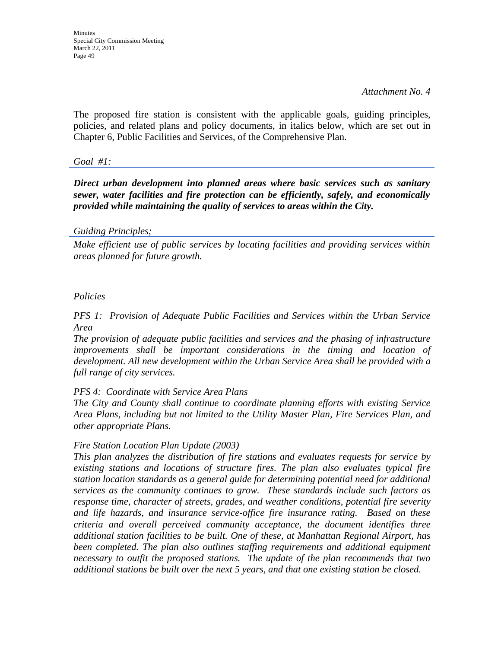**Minutes** Special City Commission Meeting March 22, 2011 Page 49

*Attachment No. 4* 

The proposed fire station is consistent with the applicable goals, guiding principles, policies, and related plans and policy documents, in italics below, which are set out in Chapter 6, Public Facilities and Services, of the Comprehensive Plan.

*Goal #1:* 

*Direct urban development into planned areas where basic services such as sanitary sewer, water facilities and fire protection can be efficiently, safely, and economically provided while maintaining the quality of services to areas within the City.* 

#### *Guiding Principles;*

*Make efficient use of public services by locating facilities and providing services within areas planned for future growth.* 

### *Policies*

*PFS 1: Provision of Adequate Public Facilities and Services within the Urban Service Area* 

*The provision of adequate public facilities and services and the phasing of infrastructure improvements shall be important considerations in the timing and location of development. All new development within the Urban Service Area shall be provided with a full range of city services.* 

#### *PFS 4: Coordinate with Service Area Plans*

*The City and County shall continue to coordinate planning efforts with existing Service Area Plans, including but not limited to the Utility Master Plan, Fire Services Plan, and other appropriate Plans.* 

### *Fire Station Location Plan Update (2003)*

*This plan analyzes the distribution of fire stations and evaluates requests for service by existing stations and locations of structure fires. The plan also evaluates typical fire station location standards as a general guide for determining potential need for additional services as the community continues to grow. These standards include such factors as response time, character of streets, grades, and weather conditions, potential fire severity and life hazards, and insurance service-office fire insurance rating. Based on these criteria and overall perceived community acceptance, the document identifies three additional station facilities to be built. One of these, at Manhattan Regional Airport, has*  been completed. The plan also outlines staffing requirements and additional equipment *necessary to outfit the proposed stations. The update of the plan recommends that two additional stations be built over the next 5 years, and that one existing station be closed.*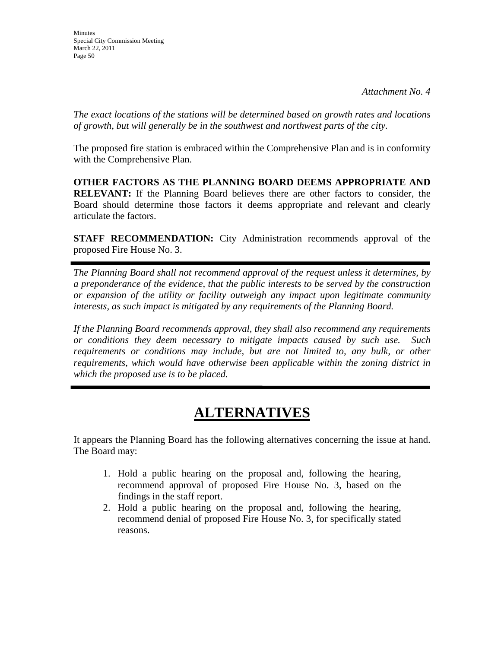*The exact locations of the stations will be determined based on growth rates and locations of growth, but will generally be in the southwest and northwest parts of the city.* 

The proposed fire station is embraced within the Comprehensive Plan and is in conformity with the Comprehensive Plan.

**OTHER FACTORS AS THE PLANNING BOARD DEEMS APPROPRIATE AND RELEVANT:** If the Planning Board believes there are other factors to consider, the Board should determine those factors it deems appropriate and relevant and clearly articulate the factors.

**STAFF RECOMMENDATION:** City Administration recommends approval of the proposed Fire House No. 3.

*The Planning Board shall not recommend approval of the request unless it determines, by a preponderance of the evidence, that the public interests to be served by the construction or expansion of the utility or facility outweigh any impact upon legitimate community interests, as such impact is mitigated by any requirements of the Planning Board.* 

*If the Planning Board recommends approval, they shall also recommend any requirements or conditions they deem necessary to mitigate impacts caused by such use. Such requirements or conditions may include, but are not limited to, any bulk, or other requirements, which would have otherwise been applicable within the zoning district in which the proposed use is to be placed.* 

# **ALTERNATIVES**

It appears the Planning Board has the following alternatives concerning the issue at hand. The Board may:

- 1. Hold a public hearing on the proposal and, following the hearing, recommend approval of proposed Fire House No. 3, based on the findings in the staff report.
- 2. Hold a public hearing on the proposal and, following the hearing, recommend denial of proposed Fire House No. 3, for specifically stated reasons.